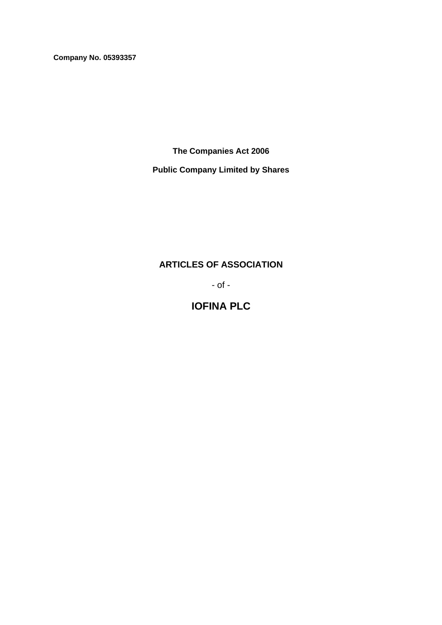**Company No. 05393357**

**The Companies Act 2006**

**Public Company Limited by Shares**

# **ARTICLES OF ASSOCIATION**

- of -

**IOFINA PLC**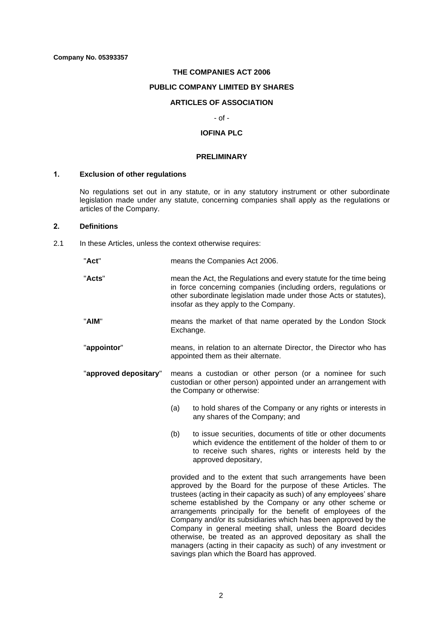# **THE COMPANIES ACT 2006**

# **PUBLIC COMPANY LIMITED BY SHARES**

# **ARTICLES OF ASSOCIATION**

#### - of -

# **IOFINA PLC**

#### **PRELIMINARY**

#### **1. Exclusion of other regulations**

No regulations set out in any statute, or in any statutory instrument or other subordinate legislation made under any statute, concerning companies shall apply as the regulations or articles of the Company.

# **2. Definitions**

2.1 In these Articles, unless the context otherwise requires:

| "Act"                 | means the Companies Act 2006.                                                                                                                                                                                                                                                                                                                                                                                                                                                                                                  |                                                                                                                                                                                                             |
|-----------------------|--------------------------------------------------------------------------------------------------------------------------------------------------------------------------------------------------------------------------------------------------------------------------------------------------------------------------------------------------------------------------------------------------------------------------------------------------------------------------------------------------------------------------------|-------------------------------------------------------------------------------------------------------------------------------------------------------------------------------------------------------------|
| "Acts"                | mean the Act, the Regulations and every statute for the time being<br>in force concerning companies (including orders, regulations or<br>other subordinate legislation made under those Acts or statutes),<br>insofar as they apply to the Company.                                                                                                                                                                                                                                                                            |                                                                                                                                                                                                             |
| "AIM"                 | means the market of that name operated by the London Stock<br>Exchange.                                                                                                                                                                                                                                                                                                                                                                                                                                                        |                                                                                                                                                                                                             |
| "appointor"           | means, in relation to an alternate Director, the Director who has<br>appointed them as their alternate.                                                                                                                                                                                                                                                                                                                                                                                                                        |                                                                                                                                                                                                             |
| "approved depositary" | means a custodian or other person (or a nominee for such<br>custodian or other person) appointed under an arrangement with<br>the Company or otherwise:                                                                                                                                                                                                                                                                                                                                                                        |                                                                                                                                                                                                             |
|                       | (a)                                                                                                                                                                                                                                                                                                                                                                                                                                                                                                                            | to hold shares of the Company or any rights or interests in<br>any shares of the Company; and                                                                                                               |
|                       | (b)                                                                                                                                                                                                                                                                                                                                                                                                                                                                                                                            | to issue securities, documents of title or other documents<br>which evidence the entitlement of the holder of them to or<br>to receive such shares, rights or interests held by the<br>approved depositary, |
|                       | provided and to the extent that such arrangements have been<br>approved by the Board for the purpose of these Articles. The<br>trustees (acting in their capacity as such) of any employees' share<br>scheme established by the Company or any other scheme or<br>arrangements principally for the benefit of employees of the<br>Company and/or its subsidiaries which has been approved by the<br>Company in general meeting shall, unless the Board decides<br>otherwise, be treated as an approved depositary as shall the |                                                                                                                                                                                                             |

savings plan which the Board has approved.

managers (acting in their capacity as such) of any investment or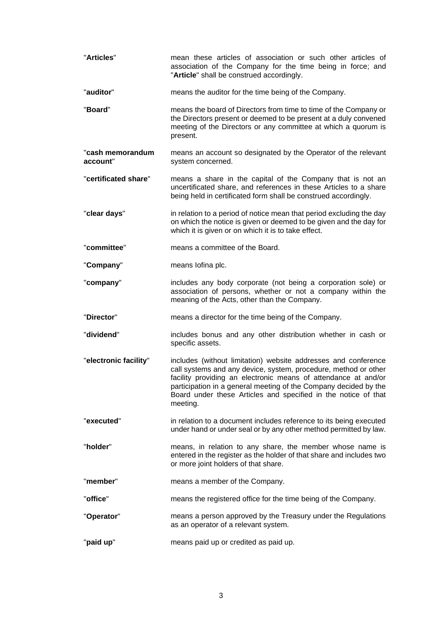| "Articles"                   | mean these articles of association or such other articles of<br>association of the Company for the time being in force; and<br>"Article" shall be construed accordingly.                                                                                                                                                                              |
|------------------------------|-------------------------------------------------------------------------------------------------------------------------------------------------------------------------------------------------------------------------------------------------------------------------------------------------------------------------------------------------------|
| "auditor"                    | means the auditor for the time being of the Company.                                                                                                                                                                                                                                                                                                  |
| "Board"                      | means the board of Directors from time to time of the Company or<br>the Directors present or deemed to be present at a duly convened<br>meeting of the Directors or any committee at which a quorum is<br>present.                                                                                                                                    |
| "cash memorandum<br>account" | means an account so designated by the Operator of the relevant<br>system concerned.                                                                                                                                                                                                                                                                   |
| "certificated share"         | means a share in the capital of the Company that is not an<br>uncertificated share, and references in these Articles to a share<br>being held in certificated form shall be construed accordingly.                                                                                                                                                    |
| "clear days"                 | in relation to a period of notice mean that period excluding the day<br>on which the notice is given or deemed to be given and the day for<br>which it is given or on which it is to take effect.                                                                                                                                                     |
| "committee"                  | means a committee of the Board.                                                                                                                                                                                                                                                                                                                       |
| "Company"                    | means lofina plc.                                                                                                                                                                                                                                                                                                                                     |
| "company"                    | includes any body corporate (not being a corporation sole) or<br>association of persons, whether or not a company within the<br>meaning of the Acts, other than the Company.                                                                                                                                                                          |
| "Director"                   | means a director for the time being of the Company.                                                                                                                                                                                                                                                                                                   |
| "dividend"                   | includes bonus and any other distribution whether in cash or<br>specific assets.                                                                                                                                                                                                                                                                      |
| "electronic facility"        | includes (without limitation) website addresses and conference<br>call systems and any device, system, procedure, method or other<br>facility providing an electronic means of attendance at and/or<br>participation in a general meeting of the Company decided by the<br>Board under these Articles and specified in the notice of that<br>meeting. |
| "executed"                   | in relation to a document includes reference to its being executed<br>under hand or under seal or by any other method permitted by law.                                                                                                                                                                                                               |
| "holder"                     | means, in relation to any share, the member whose name is<br>entered in the register as the holder of that share and includes two<br>or more joint holders of that share.                                                                                                                                                                             |
| "member"                     | means a member of the Company.                                                                                                                                                                                                                                                                                                                        |
| "office"                     | means the registered office for the time being of the Company.                                                                                                                                                                                                                                                                                        |
| "Operator"                   | means a person approved by the Treasury under the Regulations<br>as an operator of a relevant system.                                                                                                                                                                                                                                                 |
| "paid up"                    | means paid up or credited as paid up.                                                                                                                                                                                                                                                                                                                 |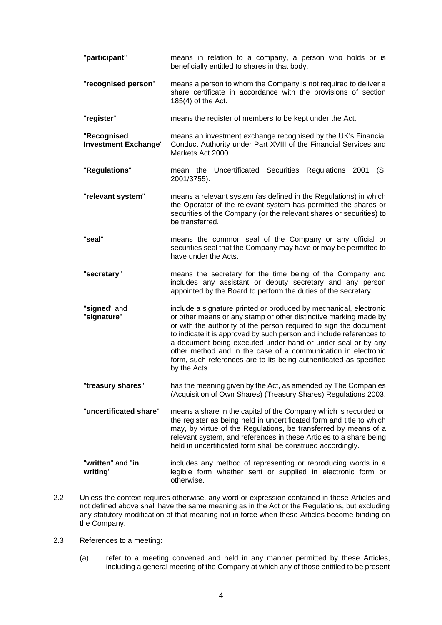- "**participant**" means in relation to a company, a person who holds or is beneficially entitled to shares in that body. "**recognised person**" means a person to whom the Company is not required to deliver a share certificate in accordance with the provisions of section 185(4) of the Act. "**register**" means the register of members to be kept under the Act. "**Recognised Investment Exchange**" means an investment exchange recognised by the UK's Financial Conduct Authority under Part XVIII of the Financial Services and Markets Act 2000. "**Regulations**" mean the Uncertificated Securities Regulations 2001 (SI 2001/3755). "**relevant system**" means a relevant system (as defined in the Regulations) in which the Operator of the relevant system has permitted the shares or securities of the Company (or the relevant shares or securities) to be transferred. "**seal**" means the common seal of the Company or any official or securities seal that the Company may have or may be permitted to have under the Acts. "**secretary**" means the secretary for the time being of the Company and includes any assistant or deputy secretary and any person appointed by the Board to perform the duties of the secretary. "**signed**" and "**signature**" include a signature printed or produced by mechanical, electronic or other means or any stamp or other distinctive marking made by or with the authority of the person required to sign the document to indicate it is approved by such person and include references to a document being executed under hand or under seal or by any other method and in the case of a communication in electronic form, such references are to its being authenticated as specified by the Acts. "**treasury shares**" has the meaning given by the Act, as amended by The Companies (Acquisition of Own Shares) (Treasury Shares) Regulations 2003. "**uncertificated share**" means a share in the capital of the Company which is recorded on the register as being held in uncertificated form and title to which may, by virtue of the Regulations, be transferred by means of a relevant system, and references in these Articles to a share being held in uncertificated form shall be construed accordingly. "**written**" and "**in writing**" includes any method of representing or reproducing words in a legible form whether sent or supplied in electronic form or otherwise.
- 2.2 Unless the context requires otherwise, any word or expression contained in these Articles and not defined above shall have the same meaning as in the Act or the Regulations, but excluding any statutory modification of that meaning not in force when these Articles become binding on the Company.
- 2.3 References to a meeting:
	- (a) refer to a meeting convened and held in any manner permitted by these Articles, including a general meeting of the Company at which any of those entitled to be present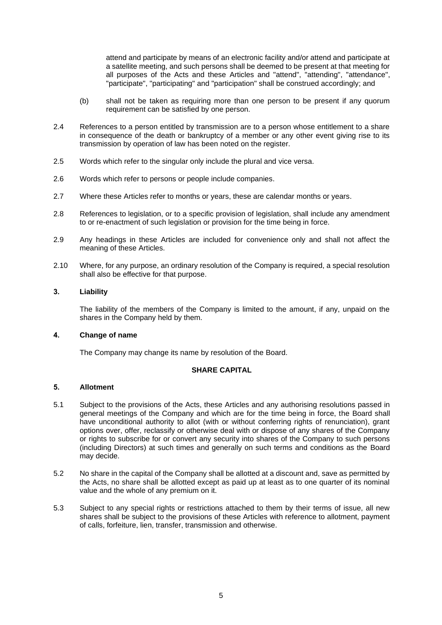attend and participate by means of an electronic facility and/or attend and participate at a satellite meeting, and such persons shall be deemed to be present at that meeting for all purposes of the Acts and these Articles and "attend", "attending", "attendance", "participate", "participating" and "participation" shall be construed accordingly; and

- (b) shall not be taken as requiring more than one person to be present if any quorum requirement can be satisfied by one person.
- 2.4 References to a person entitled by transmission are to a person whose entitlement to a share in consequence of the death or bankruptcy of a member or any other event giving rise to its transmission by operation of law has been noted on the register.
- 2.5 Words which refer to the singular only include the plural and vice versa.
- 2.6 Words which refer to persons or people include companies.
- 2.7 Where these Articles refer to months or years, these are calendar months or years.
- 2.8 References to legislation, or to a specific provision of legislation, shall include any amendment to or re-enactment of such legislation or provision for the time being in force.
- 2.9 Any headings in these Articles are included for convenience only and shall not affect the meaning of these Articles.
- 2.10 Where, for any purpose, an ordinary resolution of the Company is required, a special resolution shall also be effective for that purpose.

### **3. Liability**

The liability of the members of the Company is limited to the amount, if any, unpaid on the shares in the Company held by them.

#### **4. Change of name**

The Company may change its name by resolution of the Board.

### **SHARE CAPITAL**

# **5. Allotment**

- 5.1 Subject to the provisions of the Acts, these Articles and any authorising resolutions passed in general meetings of the Company and which are for the time being in force, the Board shall have unconditional authority to allot (with or without conferring rights of renunciation), grant options over, offer, reclassify or otherwise deal with or dispose of any shares of the Company or rights to subscribe for or convert any security into shares of the Company to such persons (including Directors) at such times and generally on such terms and conditions as the Board may decide.
- 5.2 No share in the capital of the Company shall be allotted at a discount and, save as permitted by the Acts, no share shall be allotted except as paid up at least as to one quarter of its nominal value and the whole of any premium on it.
- 5.3 Subject to any special rights or restrictions attached to them by their terms of issue, all new shares shall be subject to the provisions of these Articles with reference to allotment, payment of calls, forfeiture, lien, transfer, transmission and otherwise.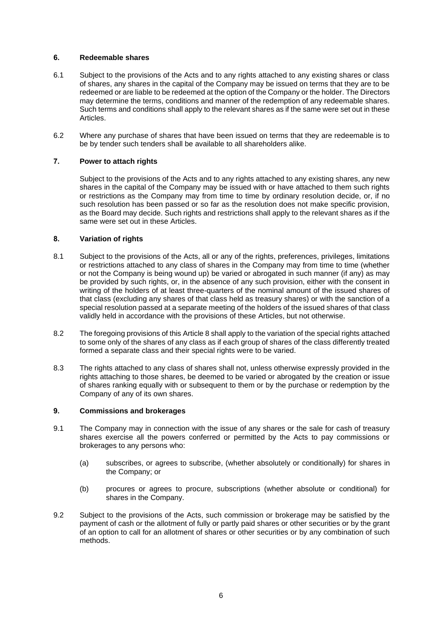# **6. Redeemable shares**

- 6.1 Subject to the provisions of the Acts and to any rights attached to any existing shares or class of shares, any shares in the capital of the Company may be issued on terms that they are to be redeemed or are liable to be redeemed at the option of the Company or the holder. The Directors may determine the terms, conditions and manner of the redemption of any redeemable shares. Such terms and conditions shall apply to the relevant shares as if the same were set out in these Articles.
- 6.2 Where any purchase of shares that have been issued on terms that they are redeemable is to be by tender such tenders shall be available to all shareholders alike.

# **7. Power to attach rights**

Subject to the provisions of the Acts and to any rights attached to any existing shares, any new shares in the capital of the Company may be issued with or have attached to them such rights or restrictions as the Company may from time to time by ordinary resolution decide, or, if no such resolution has been passed or so far as the resolution does not make specific provision, as the Board may decide. Such rights and restrictions shall apply to the relevant shares as if the same were set out in these Articles.

# <span id="page-5-0"></span>**8. Variation of rights**

- 8.1 Subject to the provisions of the Acts, all or any of the rights, preferences, privileges, limitations or restrictions attached to any class of shares in the Company may from time to time (whether or not the Company is being wound up) be varied or abrogated in such manner (if any) as may be provided by such rights, or, in the absence of any such provision, either with the consent in writing of the holders of at least three-quarters of the nominal amount of the issued shares of that class (excluding any shares of that class held as treasury shares) or with the sanction of a special resolution passed at a separate meeting of the holders of the issued shares of that class validly held in accordance with the provisions of these Articles, but not otherwise.
- 8.2 The foregoing provisions of this Articl[e 8](#page-5-0) shall apply to the variation of the special rights attached to some only of the shares of any class as if each group of shares of the class differently treated formed a separate class and their special rights were to be varied.
- 8.3 The rights attached to any class of shares shall not, unless otherwise expressly provided in the rights attaching to those shares, be deemed to be varied or abrogated by the creation or issue of shares ranking equally with or subsequent to them or by the purchase or redemption by the Company of any of its own shares.

### **9. Commissions and brokerages**

- 9.1 The Company may in connection with the issue of any shares or the sale for cash of treasury shares exercise all the powers conferred or permitted by the Acts to pay commissions or brokerages to any persons who:
	- (a) subscribes, or agrees to subscribe, (whether absolutely or conditionally) for shares in the Company; or
	- (b) procures or agrees to procure, subscriptions (whether absolute or conditional) for shares in the Company.
- 9.2 Subject to the provisions of the Acts, such commission or brokerage may be satisfied by the payment of cash or the allotment of fully or partly paid shares or other securities or by the grant of an option to call for an allotment of shares or other securities or by any combination of such methods.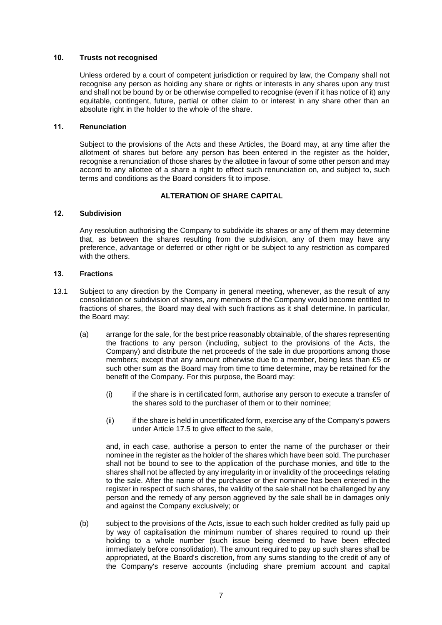### **10. Trusts not recognised**

Unless ordered by a court of competent jurisdiction or required by law, the Company shall not recognise any person as holding any share or rights or interests in any shares upon any trust and shall not be bound by or be otherwise compelled to recognise (even if it has notice of it) any equitable, contingent, future, partial or other claim to or interest in any share other than an absolute right in the holder to the whole of the share.

### **11. Renunciation**

Subject to the provisions of the Acts and these Articles, the Board may, at any time after the allotment of shares but before any person has been entered in the register as the holder, recognise a renunciation of those shares by the allottee in favour of some other person and may accord to any allottee of a share a right to effect such renunciation on, and subject to, such terms and conditions as the Board considers fit to impose.

# **ALTERATION OF SHARE CAPITAL**

# **12. Subdivision**

Any resolution authorising the Company to subdivide its shares or any of them may determine that, as between the shares resulting from the subdivision, any of them may have any preference, advantage or deferred or other right or be subject to any restriction as compared with the others.

# **13. Fractions**

- 13.1 Subject to any direction by the Company in general meeting, whenever, as the result of any consolidation or subdivision of shares, any members of the Company would become entitled to fractions of shares, the Board may deal with such fractions as it shall determine. In particular, the Board may:
	- (a) arrange for the sale, for the best price reasonably obtainable, of the shares representing the fractions to any person (including, subject to the provisions of the Acts, the Company) and distribute the net proceeds of the sale in due proportions among those members; except that any amount otherwise due to a member, being less than £5 or such other sum as the Board may from time to time determine, may be retained for the benefit of the Company. For this purpose, the Board may:
		- (i) if the share is in certificated form, authorise any person to execute a transfer of the shares sold to the purchaser of them or to their nominee;
		- (ii) if the share is held in uncertificated form, exercise any of the Company's powers under Article [17.5](#page-8-0) to give effect to the sale,

and, in each case, authorise a person to enter the name of the purchaser or their nominee in the register as the holder of the shares which have been sold. The purchaser shall not be bound to see to the application of the purchase monies, and title to the shares shall not be affected by any irregularity in or invalidity of the proceedings relating to the sale. After the name of the purchaser or their nominee has been entered in the register in respect of such shares, the validity of the sale shall not be challenged by any person and the remedy of any person aggrieved by the sale shall be in damages only and against the Company exclusively; or

(b) subject to the provisions of the Acts, issue to each such holder credited as fully paid up by way of capitalisation the minimum number of shares required to round up their holding to a whole number (such issue being deemed to have been effected immediately before consolidation). The amount required to pay up such shares shall be appropriated, at the Board's discretion, from any sums standing to the credit of any of the Company's reserve accounts (including share premium account and capital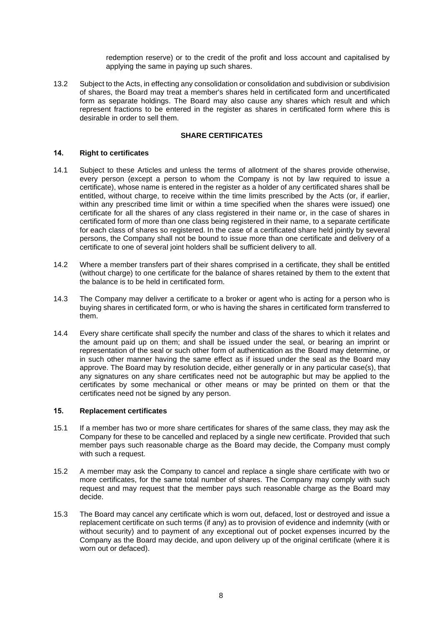redemption reserve) or to the credit of the profit and loss account and capitalised by applying the same in paying up such shares.

13.2 Subject to the Acts, in effecting any consolidation or consolidation and subdivision or subdivision of shares, the Board may treat a member's shares held in certificated form and uncertificated form as separate holdings. The Board may also cause any shares which result and which represent fractions to be entered in the register as shares in certificated form where this is desirable in order to sell them.

# **SHARE CERTIFICATES**

# **14. Right to certificates**

- 14.1 Subject to these Articles and unless the terms of allotment of the shares provide otherwise, every person (except a person to whom the Company is not by law required to issue a certificate), whose name is entered in the register as a holder of any certificated shares shall be entitled, without charge, to receive within the time limits prescribed by the Acts (or, if earlier, within any prescribed time limit or within a time specified when the shares were issued) one certificate for all the shares of any class registered in their name or, in the case of shares in certificated form of more than one class being registered in their name, to a separate certificate for each class of shares so registered. In the case of a certificated share held jointly by several persons, the Company shall not be bound to issue more than one certificate and delivery of a certificate to one of several joint holders shall be sufficient delivery to all.
- 14.2 Where a member transfers part of their shares comprised in a certificate, they shall be entitled (without charge) to one certificate for the balance of shares retained by them to the extent that the balance is to be held in certificated form.
- 14.3 The Company may deliver a certificate to a broker or agent who is acting for a person who is buying shares in certificated form, or who is having the shares in certificated form transferred to them.
- 14.4 Every share certificate shall specify the number and class of the shares to which it relates and the amount paid up on them; and shall be issued under the seal, or bearing an imprint or representation of the seal or such other form of authentication as the Board may determine, or in such other manner having the same effect as if issued under the seal as the Board may approve. The Board may by resolution decide, either generally or in any particular case(s), that any signatures on any share certificates need not be autographic but may be applied to the certificates by some mechanical or other means or may be printed on them or that the certificates need not be signed by any person.

### **15. Replacement certificates**

- 15.1 If a member has two or more share certificates for shares of the same class, they may ask the Company for these to be cancelled and replaced by a single new certificate. Provided that such member pays such reasonable charge as the Board may decide, the Company must comply with such a request.
- 15.2 A member may ask the Company to cancel and replace a single share certificate with two or more certificates, for the same total number of shares. The Company may comply with such request and may request that the member pays such reasonable charge as the Board may decide.
- 15.3 The Board may cancel any certificate which is worn out, defaced, lost or destroyed and issue a replacement certificate on such terms (if any) as to provision of evidence and indemnity (with or without security) and to payment of any exceptional out of pocket expenses incurred by the Company as the Board may decide, and upon delivery up of the original certificate (where it is worn out or defaced).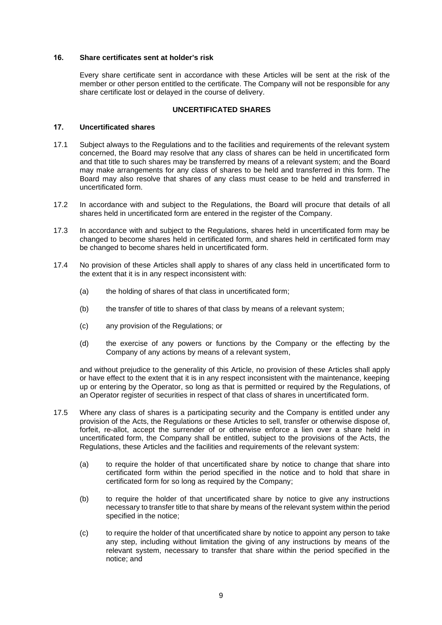### **16. Share certificates sent at holder's risk**

Every share certificate sent in accordance with these Articles will be sent at the risk of the member or other person entitled to the certificate. The Company will not be responsible for any share certificate lost or delayed in the course of delivery.

### **UNCERTIFICATED SHARES**

### **17. Uncertificated shares**

- 17.1 Subject always to the Regulations and to the facilities and requirements of the relevant system concerned, the Board may resolve that any class of shares can be held in uncertificated form and that title to such shares may be transferred by means of a relevant system; and the Board may make arrangements for any class of shares to be held and transferred in this form. The Board may also resolve that shares of any class must cease to be held and transferred in uncertificated form.
- 17.2 In accordance with and subject to the Regulations, the Board will procure that details of all shares held in uncertificated form are entered in the register of the Company.
- 17.3 In accordance with and subject to the Regulations, shares held in uncertificated form may be changed to become shares held in certificated form, and shares held in certificated form may be changed to become shares held in uncertificated form.
- 17.4 No provision of these Articles shall apply to shares of any class held in uncertificated form to the extent that it is in any respect inconsistent with:
	- (a) the holding of shares of that class in uncertificated form;
	- (b) the transfer of title to shares of that class by means of a relevant system;
	- (c) any provision of the Regulations; or
	- (d) the exercise of any powers or functions by the Company or the effecting by the Company of any actions by means of a relevant system,

and without prejudice to the generality of this Article, no provision of these Articles shall apply or have effect to the extent that it is in any respect inconsistent with the maintenance, keeping up or entering by the Operator, so long as that is permitted or required by the Regulations, of an Operator register of securities in respect of that class of shares in uncertificated form.

- <span id="page-8-0"></span>17.5 Where any class of shares is a participating security and the Company is entitled under any provision of the Acts, the Regulations or these Articles to sell, transfer or otherwise dispose of, forfeit, re-allot, accept the surrender of or otherwise enforce a lien over a share held in uncertificated form, the Company shall be entitled, subject to the provisions of the Acts, the Regulations, these Articles and the facilities and requirements of the relevant system:
	- (a) to require the holder of that uncertificated share by notice to change that share into certificated form within the period specified in the notice and to hold that share in certificated form for so long as required by the Company;
	- (b) to require the holder of that uncertificated share by notice to give any instructions necessary to transfer title to that share by means of the relevant system within the period specified in the notice;
	- (c) to require the holder of that uncertificated share by notice to appoint any person to take any step, including without limitation the giving of any instructions by means of the relevant system, necessary to transfer that share within the period specified in the notice; and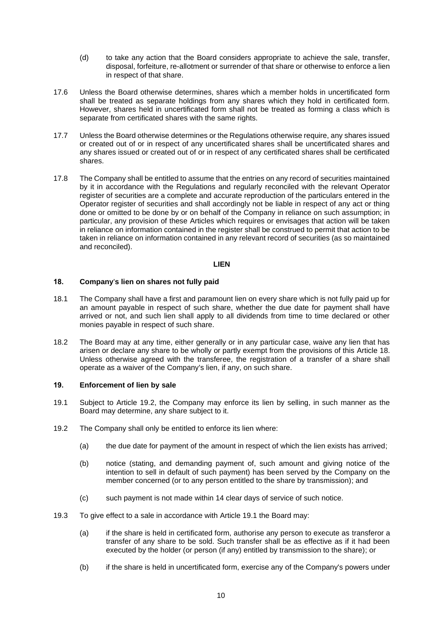- (d) to take any action that the Board considers appropriate to achieve the sale, transfer, disposal, forfeiture, re-allotment or surrender of that share or otherwise to enforce a lien in respect of that share.
- 17.6 Unless the Board otherwise determines, shares which a member holds in uncertificated form shall be treated as separate holdings from any shares which they hold in certificated form. However, shares held in uncertificated form shall not be treated as forming a class which is separate from certificated shares with the same rights.
- 17.7 Unless the Board otherwise determines or the Regulations otherwise require, any shares issued or created out of or in respect of any uncertificated shares shall be uncertificated shares and any shares issued or created out of or in respect of any certificated shares shall be certificated shares.
- 17.8 The Company shall be entitled to assume that the entries on any record of securities maintained by it in accordance with the Regulations and regularly reconciled with the relevant Operator register of securities are a complete and accurate reproduction of the particulars entered in the Operator register of securities and shall accordingly not be liable in respect of any act or thing done or omitted to be done by or on behalf of the Company in reliance on such assumption; in particular, any provision of these Articles which requires or envisages that action will be taken in reliance on information contained in the register shall be construed to permit that action to be taken in reliance on information contained in any relevant record of securities (as so maintained and reconciled).

### **LIEN**

# <span id="page-9-0"></span>**18. Company**'**s lien on shares not fully paid**

- 18.1 The Company shall have a first and paramount lien on every share which is not fully paid up for an amount payable in respect of such share, whether the due date for payment shall have arrived or not, and such lien shall apply to all dividends from time to time declared or other monies payable in respect of such share.
- 18.2 The Board may at any time, either generally or in any particular case, waive any lien that has arisen or declare any share to be wholly or partly exempt from the provisions of this Article [18.](#page-9-0) Unless otherwise agreed with the transferee, the registration of a transfer of a share shall operate as a waiver of the Company's lien, if any, on such share.

### **19. Enforcement of lien by sale**

- <span id="page-9-2"></span>19.1 Subject to Article [19.2,](#page-9-1) the Company may enforce its lien by selling, in such manner as the Board may determine, any share subject to it.
- <span id="page-9-1"></span>19.2 The Company shall only be entitled to enforce its lien where:
	- (a) the due date for payment of the amount in respect of which the lien exists has arrived;
	- (b) notice (stating, and demanding payment of, such amount and giving notice of the intention to sell in default of such payment) has been served by the Company on the member concerned (or to any person entitled to the share by transmission); and
	- (c) such payment is not made within 14 clear days of service of such notice.
- 19.3 To give effect to a sale in accordance with Article [19.1](#page-9-2) the Board may:
	- (a) if the share is held in certificated form, authorise any person to execute as transferor a transfer of any share to be sold. Such transfer shall be as effective as if it had been executed by the holder (or person (if any) entitled by transmission to the share); or
	- (b) if the share is held in uncertificated form, exercise any of the Company's powers under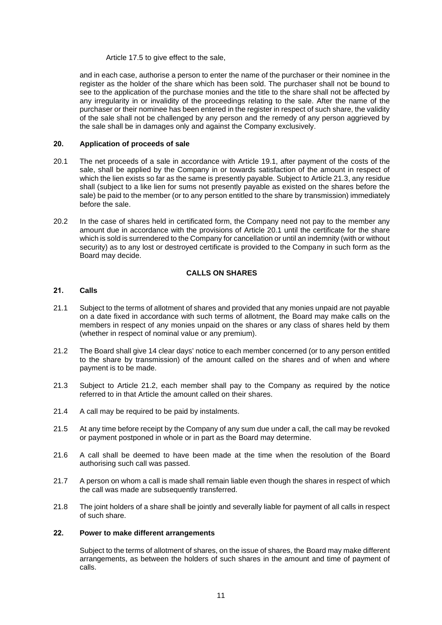Article [17.5](#page-8-0) to give effect to the sale,

and in each case, authorise a person to enter the name of the purchaser or their nominee in the register as the holder of the share which has been sold. The purchaser shall not be bound to see to the application of the purchase monies and the title to the share shall not be affected by any irregularity in or invalidity of the proceedings relating to the sale. After the name of the purchaser or their nominee has been entered in the register in respect of such share, the validity of the sale shall not be challenged by any person and the remedy of any person aggrieved by the sale shall be in damages only and against the Company exclusively.

# **20. Application of proceeds of sale**

- <span id="page-10-1"></span>20.1 The net proceeds of a sale in accordance with Article [19.1,](#page-9-2) after payment of the costs of the sale, shall be applied by the Company in or towards satisfaction of the amount in respect of which the lien exists so far as the same is presently payable. Subject to Articl[e 21.3,](#page-10-0) any residue shall (subject to a like lien for sums not presently payable as existed on the shares before the sale) be paid to the member (or to any person entitled to the share by transmission) immediately before the sale.
- 20.2 In the case of shares held in certificated form, the Company need not pay to the member any amount due in accordance with the provisions of Article [20.1](#page-10-1) until the certificate for the share which is sold is surrendered to the Company for cancellation or until an indemnity (with or without security) as to any lost or destroyed certificate is provided to the Company in such form as the Board may decide.

# **CALLS ON SHARES**

# **21. Calls**

- 21.1 Subject to the terms of allotment of shares and provided that any monies unpaid are not payable on a date fixed in accordance with such terms of allotment, the Board may make calls on the members in respect of any monies unpaid on the shares or any class of shares held by them (whether in respect of nominal value or any premium).
- <span id="page-10-2"></span>21.2 The Board shall give 14 clear days' notice to each member concerned (or to any person entitled to the share by transmission) of the amount called on the shares and of when and where payment is to be made.
- <span id="page-10-0"></span>21.3 Subject to Article [21.2,](#page-10-2) each member shall pay to the Company as required by the notice referred to in that Article the amount called on their shares.
- 21.4 A call may be required to be paid by instalments.
- 21.5 At any time before receipt by the Company of any sum due under a call, the call may be revoked or payment postponed in whole or in part as the Board may determine.
- 21.6 A call shall be deemed to have been made at the time when the resolution of the Board authorising such call was passed.
- 21.7 A person on whom a call is made shall remain liable even though the shares in respect of which the call was made are subsequently transferred.
- 21.8 The joint holders of a share shall be jointly and severally liable for payment of all calls in respect of such share.

# **22. Power to make different arrangements**

Subject to the terms of allotment of shares, on the issue of shares, the Board may make different arrangements, as between the holders of such shares in the amount and time of payment of calls.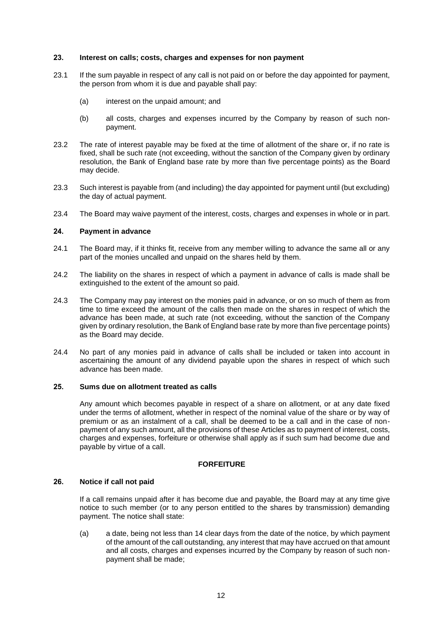# **23. Interest on calls; costs, charges and expenses for non payment**

- 23.1 If the sum payable in respect of any call is not paid on or before the day appointed for payment, the person from whom it is due and payable shall pay:
	- (a) interest on the unpaid amount; and
	- (b) all costs, charges and expenses incurred by the Company by reason of such nonpayment.
- 23.2 The rate of interest payable may be fixed at the time of allotment of the share or, if no rate is fixed, shall be such rate (not exceeding, without the sanction of the Company given by ordinary resolution, the Bank of England base rate by more than five percentage points) as the Board may decide.
- 23.3 Such interest is payable from (and including) the day appointed for payment until (but excluding) the day of actual payment.
- 23.4 The Board may waive payment of the interest, costs, charges and expenses in whole or in part.

# **24. Payment in advance**

- 24.1 The Board may, if it thinks fit, receive from any member willing to advance the same all or any part of the monies uncalled and unpaid on the shares held by them.
- 24.2 The liability on the shares in respect of which a payment in advance of calls is made shall be extinguished to the extent of the amount so paid.
- 24.3 The Company may pay interest on the monies paid in advance, or on so much of them as from time to time exceed the amount of the calls then made on the shares in respect of which the advance has been made, at such rate (not exceeding, without the sanction of the Company given by ordinary resolution, the Bank of England base rate by more than five percentage points) as the Board may decide.
- 24.4 No part of any monies paid in advance of calls shall be included or taken into account in ascertaining the amount of any dividend payable upon the shares in respect of which such advance has been made.

# **25. Sums due on allotment treated as calls**

Any amount which becomes payable in respect of a share on allotment, or at any date fixed under the terms of allotment, whether in respect of the nominal value of the share or by way of premium or as an instalment of a call, shall be deemed to be a call and in the case of nonpayment of any such amount, all the provisions of these Articles as to payment of interest, costs, charges and expenses, forfeiture or otherwise shall apply as if such sum had become due and payable by virtue of a call.

# **FORFEITURE**

# <span id="page-11-0"></span>**26. Notice if call not paid**

If a call remains unpaid after it has become due and payable, the Board may at any time give notice to such member (or to any person entitled to the shares by transmission) demanding payment. The notice shall state:

(a) a date, being not less than 14 clear days from the date of the notice, by which payment of the amount of the call outstanding, any interest that may have accrued on that amount and all costs, charges and expenses incurred by the Company by reason of such nonpayment shall be made;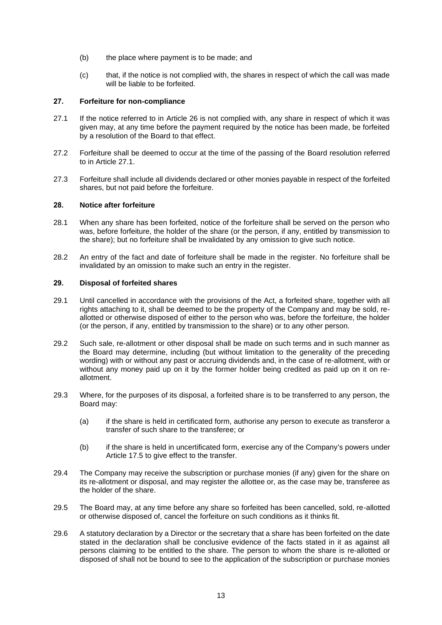- (b) the place where payment is to be made; and
- (c) that, if the notice is not complied with, the shares in respect of which the call was made will be liable to be forfeited.

# **27. Forfeiture for non-compliance**

- <span id="page-12-0"></span>27.1 If the notice referred to in Article [26](#page-11-0) is not complied with, any share in respect of which it was given may, at any time before the payment required by the notice has been made, be forfeited by a resolution of the Board to that effect.
- 27.2 Forfeiture shall be deemed to occur at the time of the passing of the Board resolution referred to in Article [27.1.](#page-12-0)
- 27.3 Forfeiture shall include all dividends declared or other monies payable in respect of the forfeited shares, but not paid before the forfeiture.

# **28. Notice after forfeiture**

- 28.1 When any share has been forfeited, notice of the forfeiture shall be served on the person who was, before forfeiture, the holder of the share (or the person, if any, entitled by transmission to the share); but no forfeiture shall be invalidated by any omission to give such notice.
- 28.2 An entry of the fact and date of forfeiture shall be made in the register. No forfeiture shall be invalidated by an omission to make such an entry in the register.

# **29. Disposal of forfeited shares**

- 29.1 Until cancelled in accordance with the provisions of the Act, a forfeited share, together with all rights attaching to it, shall be deemed to be the property of the Company and may be sold, reallotted or otherwise disposed of either to the person who was, before the forfeiture, the holder (or the person, if any, entitled by transmission to the share) or to any other person.
- 29.2 Such sale, re-allotment or other disposal shall be made on such terms and in such manner as the Board may determine, including (but without limitation to the generality of the preceding wording) with or without any past or accruing dividends and, in the case of re-allotment, with or without any money paid up on it by the former holder being credited as paid up on it on reallotment.
- 29.3 Where, for the purposes of its disposal, a forfeited share is to be transferred to any person, the Board may:
	- (a) if the share is held in certificated form, authorise any person to execute as transferor a transfer of such share to the transferee; or
	- (b) if the share is held in uncertificated form, exercise any of the Company's powers under Article [17.5](#page-8-0) to give effect to the transfer.
- 29.4 The Company may receive the subscription or purchase monies (if any) given for the share on its re-allotment or disposal, and may register the allottee or, as the case may be, transferee as the holder of the share.
- 29.5 The Board may, at any time before any share so forfeited has been cancelled, sold, re-allotted or otherwise disposed of, cancel the forfeiture on such conditions as it thinks fit.
- 29.6 A statutory declaration by a Director or the secretary that a share has been forfeited on the date stated in the declaration shall be conclusive evidence of the facts stated in it as against all persons claiming to be entitled to the share. The person to whom the share is re-allotted or disposed of shall not be bound to see to the application of the subscription or purchase monies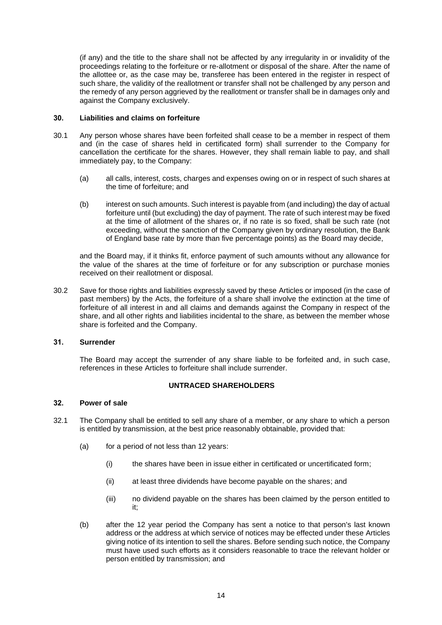(if any) and the title to the share shall not be affected by any irregularity in or invalidity of the proceedings relating to the forfeiture or re-allotment or disposal of the share. After the name of the allottee or, as the case may be, transferee has been entered in the register in respect of such share, the validity of the reallotment or transfer shall not be challenged by any person and the remedy of any person aggrieved by the reallotment or transfer shall be in damages only and against the Company exclusively.

# **30. Liabilities and claims on forfeiture**

- 30.1 Any person whose shares have been forfeited shall cease to be a member in respect of them and (in the case of shares held in certificated form) shall surrender to the Company for cancellation the certificate for the shares. However, they shall remain liable to pay, and shall immediately pay, to the Company:
	- (a) all calls, interest, costs, charges and expenses owing on or in respect of such shares at the time of forfeiture; and
	- (b) interest on such amounts. Such interest is payable from (and including) the day of actual forfeiture until (but excluding) the day of payment. The rate of such interest may be fixed at the time of allotment of the shares or, if no rate is so fixed, shall be such rate (not exceeding, without the sanction of the Company given by ordinary resolution, the Bank of England base rate by more than five percentage points) as the Board may decide,

and the Board may, if it thinks fit, enforce payment of such amounts without any allowance for the value of the shares at the time of forfeiture or for any subscription or purchase monies received on their reallotment or disposal.

30.2 Save for those rights and liabilities expressly saved by these Articles or imposed (in the case of past members) by the Acts, the forfeiture of a share shall involve the extinction at the time of forfeiture of all interest in and all claims and demands against the Company in respect of the share, and all other rights and liabilities incidental to the share, as between the member whose share is forfeited and the Company.

### **31. Surrender**

The Board may accept the surrender of any share liable to be forfeited and, in such case, references in these Articles to forfeiture shall include surrender.

# **UNTRACED SHAREHOLDERS**

### **32. Power of sale**

- <span id="page-13-2"></span><span id="page-13-1"></span><span id="page-13-0"></span>32.1 The Company shall be entitled to sell any share of a member, or any share to which a person is entitled by transmission, at the best price reasonably obtainable, provided that:
	- (a) for a period of not less than 12 years:
		- (i) the shares have been in issue either in certificated or uncertificated form;
		- (ii) at least three dividends have become payable on the shares; and
		- (iii) no dividend payable on the shares has been claimed by the person entitled to it;
	- (b) after the 12 year period the Company has sent a notice to that person's last known address or the address at which service of notices may be effected under these Articles giving notice of its intention to sell the shares. Before sending such notice, the Company must have used such efforts as it considers reasonable to trace the relevant holder or person entitled by transmission; and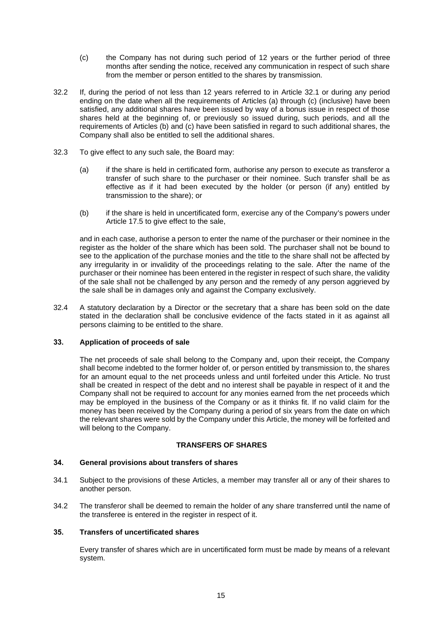- <span id="page-14-0"></span>(c) the Company has not during such period of 12 years or the further period of three months after sending the notice, received any communication in respect of such share from the member or person entitled to the shares by transmission.
- 32.2 If, during the period of not less than 12 years referred to in Article [32.1](#page-13-0) or during any period ending on the date when all the requirements of Articles [\(a\)](#page-13-1) through [\(c\)](#page-14-0) (inclusive) have been satisfied, any additional shares have been issued by way of a bonus issue in respect of those shares held at the beginning of, or previously so issued during, such periods, and all the requirements of Articles [\(b\)](#page-13-2) and [\(c\)](#page-14-0) have been satisfied in regard to such additional shares, the Company shall also be entitled to sell the additional shares.
- 32.3 To give effect to any such sale, the Board may:
	- (a) if the share is held in certificated form, authorise any person to execute as transferor a transfer of such share to the purchaser or their nominee. Such transfer shall be as effective as if it had been executed by the holder (or person (if any) entitled by transmission to the share); or
	- (b) if the share is held in uncertificated form, exercise any of the Company's powers under Article [17.5](#page-8-0) to give effect to the sale,

and in each case, authorise a person to enter the name of the purchaser or their nominee in the register as the holder of the share which has been sold. The purchaser shall not be bound to see to the application of the purchase monies and the title to the share shall not be affected by any irregularity in or invalidity of the proceedings relating to the sale. After the name of the purchaser or their nominee has been entered in the register in respect of such share, the validity of the sale shall not be challenged by any person and the remedy of any person aggrieved by the sale shall be in damages only and against the Company exclusively.

32.4 A statutory declaration by a Director or the secretary that a share has been sold on the date stated in the declaration shall be conclusive evidence of the facts stated in it as against all persons claiming to be entitled to the share.

# **33. Application of proceeds of sale**

The net proceeds of sale shall belong to the Company and, upon their receipt, the Company shall become indebted to the former holder of, or person entitled by transmission to, the shares for an amount equal to the net proceeds unless and until forfeited under this Article. No trust shall be created in respect of the debt and no interest shall be payable in respect of it and the Company shall not be required to account for any monies earned from the net proceeds which may be employed in the business of the Company or as it thinks fit. If no valid claim for the money has been received by the Company during a period of six years from the date on which the relevant shares were sold by the Company under this Article, the money will be forfeited and will belong to the Company.

# **TRANSFERS OF SHARES**

# **34. General provisions about transfers of shares**

- 34.1 Subject to the provisions of these Articles, a member may transfer all or any of their shares to another person.
- 34.2 The transferor shall be deemed to remain the holder of any share transferred until the name of the transferee is entered in the register in respect of it.

# **35. Transfers of uncertificated shares**

Every transfer of shares which are in uncertificated form must be made by means of a relevant system.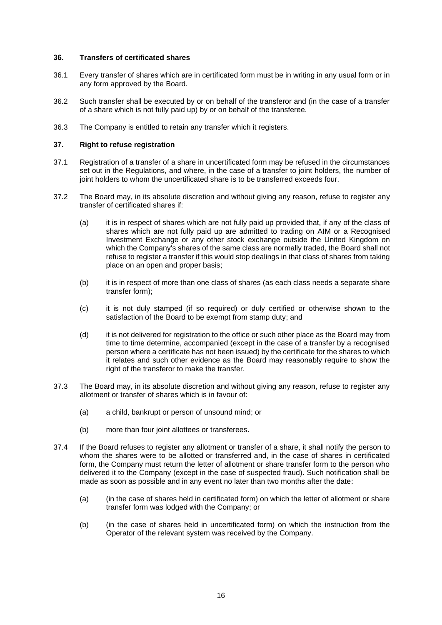### **36. Transfers of certificated shares**

- 36.1 Every transfer of shares which are in certificated form must be in writing in any usual form or in any form approved by the Board.
- 36.2 Such transfer shall be executed by or on behalf of the transferor and (in the case of a transfer of a share which is not fully paid up) by or on behalf of the transferee.
- 36.3 The Company is entitled to retain any transfer which it registers.

# **37. Right to refuse registration**

- 37.1 Registration of a transfer of a share in uncertificated form may be refused in the circumstances set out in the Regulations, and where, in the case of a transfer to joint holders, the number of joint holders to whom the uncertificated share is to be transferred exceeds four.
- 37.2 The Board may, in its absolute discretion and without giving any reason, refuse to register any transfer of certificated shares if:
	- (a) it is in respect of shares which are not fully paid up provided that, if any of the class of shares which are not fully paid up are admitted to trading on AIM or a Recognised Investment Exchange or any other stock exchange outside the United Kingdom on which the Company's shares of the same class are normally traded, the Board shall not refuse to register a transfer if this would stop dealings in that class of shares from taking place on an open and proper basis;
	- (b) it is in respect of more than one class of shares (as each class needs a separate share transfer form);
	- (c) it is not duly stamped (if so required) or duly certified or otherwise shown to the satisfaction of the Board to be exempt from stamp duty; and
	- (d) it is not delivered for registration to the office or such other place as the Board may from time to time determine, accompanied (except in the case of a transfer by a recognised person where a certificate has not been issued) by the certificate for the shares to which it relates and such other evidence as the Board may reasonably require to show the right of the transferor to make the transfer.
- 37.3 The Board may, in its absolute discretion and without giving any reason, refuse to register any allotment or transfer of shares which is in favour of:
	- (a) a child, bankrupt or person of unsound mind; or
	- (b) more than four joint allottees or transferees.
- 37.4 If the Board refuses to register any allotment or transfer of a share, it shall notify the person to whom the shares were to be allotted or transferred and, in the case of shares in certificated form, the Company must return the letter of allotment or share transfer form to the person who delivered it to the Company (except in the case of suspected fraud). Such notification shall be made as soon as possible and in any event no later than two months after the date:
	- (a) (in the case of shares held in certificated form) on which the letter of allotment or share transfer form was lodged with the Company; or
	- (b) (in the case of shares held in uncertificated form) on which the instruction from the Operator of the relevant system was received by the Company.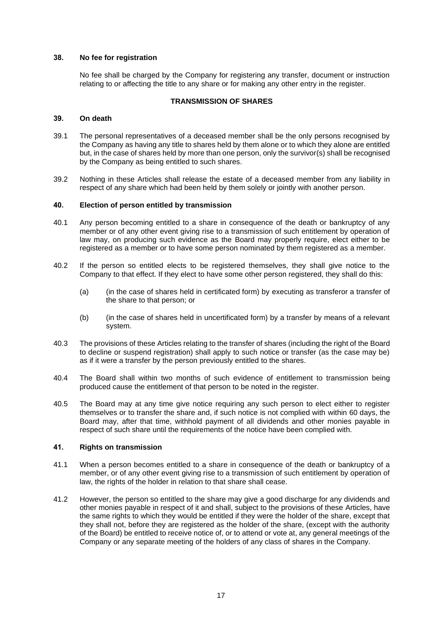### **38. No fee for registration**

No fee shall be charged by the Company for registering any transfer, document or instruction relating to or affecting the title to any share or for making any other entry in the register.

# **TRANSMISSION OF SHARES**

### **39. On death**

- 39.1 The personal representatives of a deceased member shall be the only persons recognised by the Company as having any title to shares held by them alone or to which they alone are entitled but, in the case of shares held by more than one person, only the survivor(s) shall be recognised by the Company as being entitled to such shares.
- 39.2 Nothing in these Articles shall release the estate of a deceased member from any liability in respect of any share which had been held by them solely or jointly with another person.

# **40. Election of person entitled by transmission**

- 40.1 Any person becoming entitled to a share in consequence of the death or bankruptcy of any member or of any other event giving rise to a transmission of such entitlement by operation of law may, on producing such evidence as the Board may properly require, elect either to be registered as a member or to have some person nominated by them registered as a member.
- 40.2 If the person so entitled elects to be registered themselves, they shall give notice to the Company to that effect. If they elect to have some other person registered, they shall do this:
	- (a) (in the case of shares held in certificated form) by executing as transferor a transfer of the share to that person; or
	- (b) (in the case of shares held in uncertificated form) by a transfer by means of a relevant system.
- 40.3 The provisions of these Articles relating to the transfer of shares (including the right of the Board to decline or suspend registration) shall apply to such notice or transfer (as the case may be) as if it were a transfer by the person previously entitled to the shares.
- 40.4 The Board shall within two months of such evidence of entitlement to transmission being produced cause the entitlement of that person to be noted in the register.
- 40.5 The Board may at any time give notice requiring any such person to elect either to register themselves or to transfer the share and, if such notice is not complied with within 60 days, the Board may, after that time, withhold payment of all dividends and other monies payable in respect of such share until the requirements of the notice have been complied with.

# **41. Rights on transmission**

- 41.1 When a person becomes entitled to a share in consequence of the death or bankruptcy of a member, or of any other event giving rise to a transmission of such entitlement by operation of law, the rights of the holder in relation to that share shall cease.
- 41.2 However, the person so entitled to the share may give a good discharge for any dividends and other monies payable in respect of it and shall, subject to the provisions of these Articles, have the same rights to which they would be entitled if they were the holder of the share, except that they shall not, before they are registered as the holder of the share, (except with the authority of the Board) be entitled to receive notice of, or to attend or vote at, any general meetings of the Company or any separate meeting of the holders of any class of shares in the Company.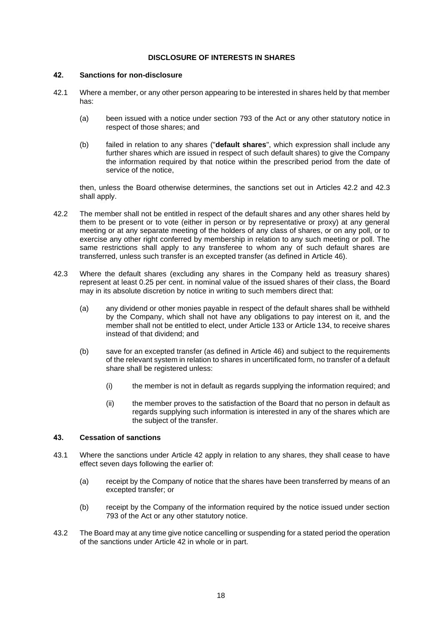# **DISCLOSURE OF INTERESTS IN SHARES**

#### <span id="page-17-2"></span>**42. Sanctions for non-disclosure**

- 42.1 Where a member, or any other person appearing to be interested in shares held by that member has:
	- (a) been issued with a notice under section 793 of the Act or any other statutory notice in respect of those shares; and
	- (b) failed in relation to any shares ("**default shares**", which expression shall include any further shares which are issued in respect of such default shares) to give the Company the information required by that notice within the prescribed period from the date of service of the notice,

then, unless the Board otherwise determines, the sanctions set out in Articles [42.2](#page-17-0) and [42.3](#page-17-1) shall apply.

- <span id="page-17-0"></span>42.2 The member shall not be entitled in respect of the default shares and any other shares held by them to be present or to vote (either in person or by representative or proxy) at any general meeting or at any separate meeting of the holders of any class of shares, or on any poll, or to exercise any other right conferred by membership in relation to any such meeting or poll. The same restrictions shall apply to any transferee to whom any of such default shares are transferred, unless such transfer is an excepted transfer (as defined in Article [46\)](#page-18-0).
- <span id="page-17-1"></span>42.3 Where the default shares (excluding any shares in the Company held as treasury shares) represent at least 0.25 per cent. in nominal value of the issued shares of their class, the Board may in its absolute discretion by notice in writing to such members direct that:
	- (a) any dividend or other monies payable in respect of the default shares shall be withheld by the Company, which shall not have any obligations to pay interest on it, and the member shall not be entitled to elect, under Article [133](#page-47-0) or Articl[e 134,](#page-49-0) to receive shares instead of that dividend; and
	- (b) save for an excepted transfer (as defined in Article [46\)](#page-18-0) and subject to the requirements of the relevant system in relation to shares in uncertificated form, no transfer of a default share shall be registered unless:
		- (i) the member is not in default as regards supplying the information required; and
		- (ii) the member proves to the satisfaction of the Board that no person in default as regards supplying such information is interested in any of the shares which are the subject of the transfer.

# **43. Cessation of sanctions**

- 43.1 Where the sanctions under Article [42](#page-17-2) apply in relation to any shares, they shall cease to have effect seven days following the earlier of:
	- (a) receipt by the Company of notice that the shares have been transferred by means of an excepted transfer; or
	- (b) receipt by the Company of the information required by the notice issued under section 793 of the Act or any other statutory notice.
- 43.2 The Board may at any time give notice cancelling or suspending for a stated period the operation of the sanctions under Article [42](#page-17-2) in whole or in part.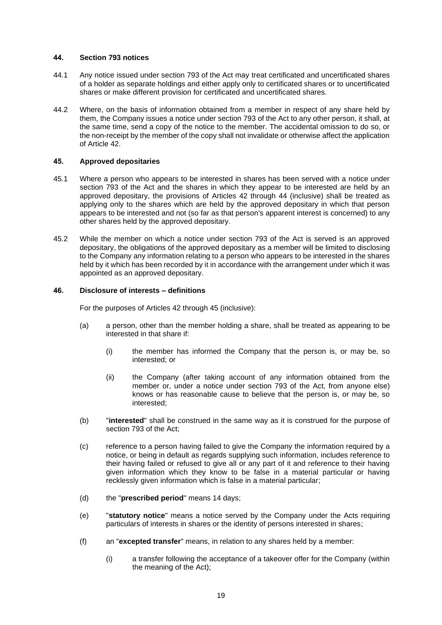### <span id="page-18-1"></span>**44. Section 793 notices**

- 44.1 Any notice issued under section 793 of the Act may treat certificated and uncertificated shares of a holder as separate holdings and either apply only to certificated shares or to uncertificated shares or make different provision for certificated and uncertificated shares.
- 44.2 Where, on the basis of information obtained from a member in respect of any share held by them, the Company issues a notice under section 793 of the Act to any other person, it shall, at the same time, send a copy of the notice to the member. The accidental omission to do so, or the non-receipt by the member of the copy shall not invalidate or otherwise affect the application of Article [42.](#page-17-2)

# <span id="page-18-2"></span>**45. Approved depositaries**

- 45.1 Where a person who appears to be interested in shares has been served with a notice under section 793 of the Act and the shares in which they appear to be interested are held by an approved depositary, the provisions of Articles [42](#page-17-2) through [44](#page-18-1) (inclusive) shall be treated as applying only to the shares which are held by the approved depositary in which that person appears to be interested and not (so far as that person's apparent interest is concerned) to any other shares held by the approved depositary.
- 45.2 While the member on which a notice under section 793 of the Act is served is an approved depositary, the obligations of the approved depositary as a member will be limited to disclosing to the Company any information relating to a person who appears to be interested in the shares held by it which has been recorded by it in accordance with the arrangement under which it was appointed as an approved depositary.

# <span id="page-18-0"></span>**46. Disclosure of interests – definitions**

For the purposes of Articles [42](#page-17-2) through [45](#page-18-2) (inclusive):

- (a) a person, other than the member holding a share, shall be treated as appearing to be interested in that share if:
	- (i) the member has informed the Company that the person is, or may be, so interested; or
	- (ii) the Company (after taking account of any information obtained from the member or, under a notice under section 793 of the Act, from anyone else) knows or has reasonable cause to believe that the person is, or may be, so interested;
- (b) "**interested**" shall be construed in the same way as it is construed for the purpose of section 793 of the Act;
- (c) reference to a person having failed to give the Company the information required by a notice, or being in default as regards supplying such information, includes reference to their having failed or refused to give all or any part of it and reference to their having given information which they know to be false in a material particular or having recklessly given information which is false in a material particular;
- (d) the "**prescribed period**" means 14 days;
- (e) "**statutory notice**" means a notice served by the Company under the Acts requiring particulars of interests in shares or the identity of persons interested in shares;
- (f) an "**excepted transfer**" means, in relation to any shares held by a member:
	- (i) a transfer following the acceptance of a takeover offer for the Company (within the meaning of the Act);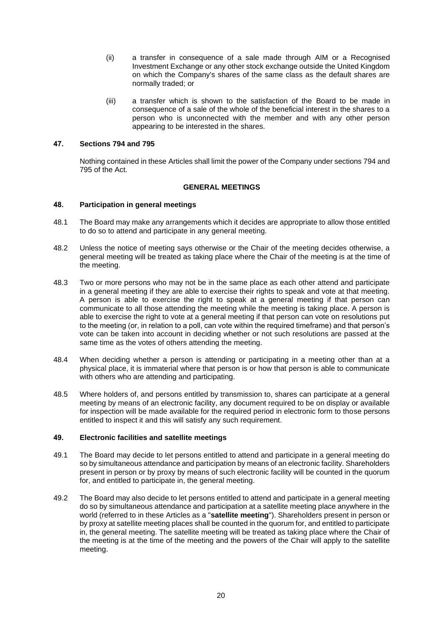- (ii) a transfer in consequence of a sale made through AIM or a Recognised Investment Exchange or any other stock exchange outside the United Kingdom on which the Company's shares of the same class as the default shares are normally traded; or
- (iii) a transfer which is shown to the satisfaction of the Board to be made in consequence of a sale of the whole of the beneficial interest in the shares to a person who is unconnected with the member and with any other person appearing to be interested in the shares.

### **47. Sections 794 and 795**

Nothing contained in these Articles shall limit the power of the Company under sections 794 and 795 of the Act.

### **GENERAL MEETINGS**

### **48. Participation in general meetings**

- 48.1 The Board may make any arrangements which it decides are appropriate to allow those entitled to do so to attend and participate in any general meeting.
- 48.2 Unless the notice of meeting says otherwise or the Chair of the meeting decides otherwise, a general meeting will be treated as taking place where the Chair of the meeting is at the time of the meeting.
- 48.3 Two or more persons who may not be in the same place as each other attend and participate in a general meeting if they are able to exercise their rights to speak and vote at that meeting. A person is able to exercise the right to speak at a general meeting if that person can communicate to all those attending the meeting while the meeting is taking place. A person is able to exercise the right to vote at a general meeting if that person can vote on resolutions put to the meeting (or, in relation to a poll, can vote within the required timeframe) and that person's vote can be taken into account in deciding whether or not such resolutions are passed at the same time as the votes of others attending the meeting.
- 48.4 When deciding whether a person is attending or participating in a meeting other than at a physical place, it is immaterial where that person is or how that person is able to communicate with others who are attending and participating.
- 48.5 Where holders of, and persons entitled by transmission to, shares can participate at a general meeting by means of an electronic facility, any document required to be on display or available for inspection will be made available for the required period in electronic form to those persons entitled to inspect it and this will satisfy any such requirement.

### **49. Electronic facilities and satellite meetings**

- 49.1 The Board may decide to let persons entitled to attend and participate in a general meeting do so by simultaneous attendance and participation by means of an electronic facility. Shareholders present in person or by proxy by means of such electronic facility will be counted in the quorum for, and entitled to participate in, the general meeting.
- 49.2 The Board may also decide to let persons entitled to attend and participate in a general meeting do so by simultaneous attendance and participation at a satellite meeting place anywhere in the world (referred to in these Articles as a "**satellite meeting**"). Shareholders present in person or by proxy at satellite meeting places shall be counted in the quorum for, and entitled to participate in, the general meeting. The satellite meeting will be treated as taking place where the Chair of the meeting is at the time of the meeting and the powers of the Chair will apply to the satellite meeting.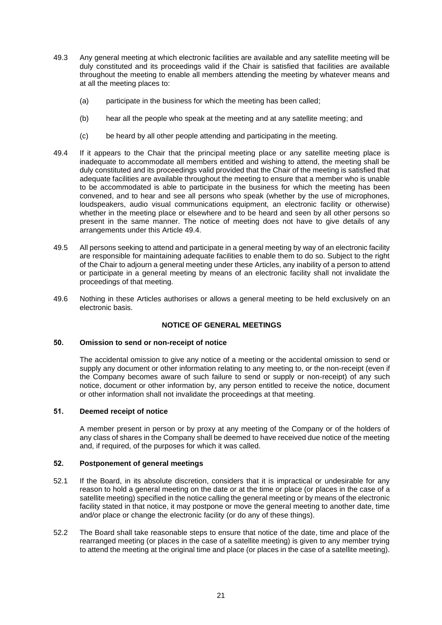- 49.3 Any general meeting at which electronic facilities are available and any satellite meeting will be duly constituted and its proceedings valid if the Chair is satisfied that facilities are available throughout the meeting to enable all members attending the meeting by whatever means and at all the meeting places to:
	- (a) participate in the business for which the meeting has been called;
	- (b) hear all the people who speak at the meeting and at any satellite meeting; and
	- (c) be heard by all other people attending and participating in the meeting.
- <span id="page-20-0"></span>49.4 If it appears to the Chair that the principal meeting place or any satellite meeting place is inadequate to accommodate all members entitled and wishing to attend, the meeting shall be duly constituted and its proceedings valid provided that the Chair of the meeting is satisfied that adequate facilities are available throughout the meeting to ensure that a member who is unable to be accommodated is able to participate in the business for which the meeting has been convened, and to hear and see all persons who speak (whether by the use of microphones, loudspeakers, audio visual communications equipment, an electronic facility or otherwise) whether in the meeting place or elsewhere and to be heard and seen by all other persons so present in the same manner. The notice of meeting does not have to give details of any arrangements under this Article [49.4.](#page-20-0)
- 49.5 All persons seeking to attend and participate in a general meeting by way of an electronic facility are responsible for maintaining adequate facilities to enable them to do so. Subject to the right of the Chair to adjourn a general meeting under these Articles, any inability of a person to attend or participate in a general meeting by means of an electronic facility shall not invalidate the proceedings of that meeting.
- 49.6 Nothing in these Articles authorises or allows a general meeting to be held exclusively on an electronic basis.

# **NOTICE OF GENERAL MEETINGS**

### **50. Omission to send or non-receipt of notice**

The accidental omission to give any notice of a meeting or the accidental omission to send or supply any document or other information relating to any meeting to, or the non-receipt (even if the Company becomes aware of such failure to send or supply or non-receipt) of any such notice, document or other information by, any person entitled to receive the notice, document or other information shall not invalidate the proceedings at that meeting.

# **51. Deemed receipt of notice**

A member present in person or by proxy at any meeting of the Company or of the holders of any class of shares in the Company shall be deemed to have received due notice of the meeting and, if required, of the purposes for which it was called.

### **52. Postponement of general meetings**

- 52.1 If the Board, in its absolute discretion, considers that it is impractical or undesirable for any reason to hold a general meeting on the date or at the time or place (or places in the case of a satellite meeting) specified in the notice calling the general meeting or by means of the electronic facility stated in that notice, it may postpone or move the general meeting to another date, time and/or place or change the electronic facility (or do any of these things).
- 52.2 The Board shall take reasonable steps to ensure that notice of the date, time and place of the rearranged meeting (or places in the case of a satellite meeting) is given to any member trying to attend the meeting at the original time and place (or places in the case of a satellite meeting).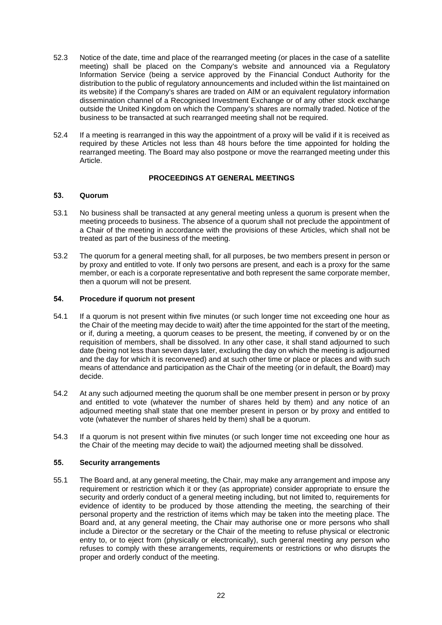- 52.3 Notice of the date, time and place of the rearranged meeting (or places in the case of a satellite meeting) shall be placed on the Company's website and announced via a Regulatory Information Service (being a service approved by the Financial Conduct Authority for the distribution to the public of regulatory announcements and included within the list maintained on its website) if the Company's shares are traded on AIM or an equivalent regulatory information dissemination channel of a Recognised Investment Exchange or of any other stock exchange outside the United Kingdom on which the Company's shares are normally traded. Notice of the business to be transacted at such rearranged meeting shall not be required.
- 52.4 If a meeting is rearranged in this way the appointment of a proxy will be valid if it is received as required by these Articles not less than 48 hours before the time appointed for holding the rearranged meeting. The Board may also postpone or move the rearranged meeting under this Article.

# **PROCEEDINGS AT GENERAL MEETINGS**

# **53. Quorum**

- 53.1 No business shall be transacted at any general meeting unless a quorum is present when the meeting proceeds to business. The absence of a quorum shall not preclude the appointment of a Chair of the meeting in accordance with the provisions of these Articles, which shall not be treated as part of the business of the meeting.
- 53.2 The quorum for a general meeting shall, for all purposes, be two members present in person or by proxy and entitled to vote. If only two persons are present, and each is a proxy for the same member, or each is a corporate representative and both represent the same corporate member, then a quorum will not be present.

# <span id="page-21-0"></span>**54. Procedure if quorum not present**

- 54.1 If a quorum is not present within five minutes (or such longer time not exceeding one hour as the Chair of the meeting may decide to wait) after the time appointed for the start of the meeting, or if, during a meeting, a quorum ceases to be present, the meeting, if convened by or on the requisition of members, shall be dissolved. In any other case, it shall stand adjourned to such date (being not less than seven days later, excluding the day on which the meeting is adjourned and the day for which it is reconvened) and at such other time or place or places and with such means of attendance and participation as the Chair of the meeting (or in default, the Board) may decide.
- 54.2 At any such adjourned meeting the quorum shall be one member present in person or by proxy and entitled to vote (whatever the number of shares held by them) and any notice of an adjourned meeting shall state that one member present in person or by proxy and entitled to vote (whatever the number of shares held by them) shall be a quorum.
- 54.3 If a quorum is not present within five minutes (or such longer time not exceeding one hour as the Chair of the meeting may decide to wait) the adjourned meeting shall be dissolved.

# **55. Security arrangements**

55.1 The Board and, at any general meeting, the Chair, may make any arrangement and impose any requirement or restriction which it or they (as appropriate) consider appropriate to ensure the security and orderly conduct of a general meeting including, but not limited to, requirements for evidence of identity to be produced by those attending the meeting, the searching of their personal property and the restriction of items which may be taken into the meeting place. The Board and, at any general meeting, the Chair may authorise one or more persons who shall include a Director or the secretary or the Chair of the meeting to refuse physical or electronic entry to, or to eject from (physically or electronically), such general meeting any person who refuses to comply with these arrangements, requirements or restrictions or who disrupts the proper and orderly conduct of the meeting.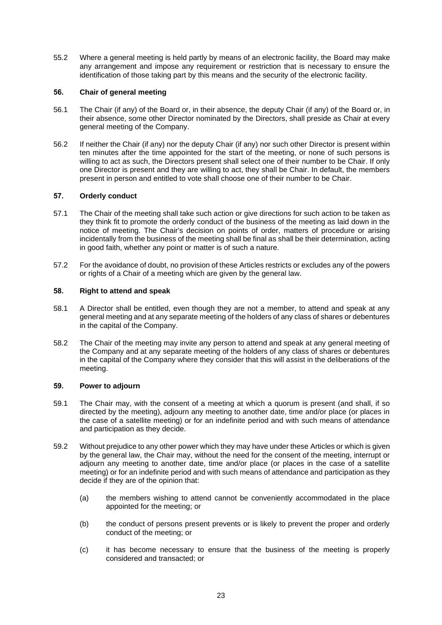55.2 Where a general meeting is held partly by means of an electronic facility, the Board may make any arrangement and impose any requirement or restriction that is necessary to ensure the identification of those taking part by this means and the security of the electronic facility.

# **56. Chair of general meeting**

- 56.1 The Chair (if any) of the Board or, in their absence, the deputy Chair (if any) of the Board or, in their absence, some other Director nominated by the Directors, shall preside as Chair at every general meeting of the Company.
- 56.2 If neither the Chair (if any) nor the deputy Chair (if any) nor such other Director is present within ten minutes after the time appointed for the start of the meeting, or none of such persons is willing to act as such, the Directors present shall select one of their number to be Chair. If only one Director is present and they are willing to act, they shall be Chair. In default, the members present in person and entitled to vote shall choose one of their number to be Chair.

# **57. Orderly conduct**

- 57.1 The Chair of the meeting shall take such action or give directions for such action to be taken as they think fit to promote the orderly conduct of the business of the meeting as laid down in the notice of meeting. The Chair's decision on points of order, matters of procedure or arising incidentally from the business of the meeting shall be final as shall be their determination, acting in good faith, whether any point or matter is of such a nature.
- 57.2 For the avoidance of doubt, no provision of these Articles restricts or excludes any of the powers or rights of a Chair of a meeting which are given by the general law.

# **58. Right to attend and speak**

- 58.1 A Director shall be entitled, even though they are not a member, to attend and speak at any general meeting and at any separate meeting of the holders of any class of shares or debentures in the capital of the Company.
- 58.2 The Chair of the meeting may invite any person to attend and speak at any general meeting of the Company and at any separate meeting of the holders of any class of shares or debentures in the capital of the Company where they consider that this will assist in the deliberations of the meeting.

# **59. Power to adjourn**

- 59.1 The Chair may, with the consent of a meeting at which a quorum is present (and shall, if so directed by the meeting), adjourn any meeting to another date, time and/or place (or places in the case of a satellite meeting) or for an indefinite period and with such means of attendance and participation as they decide.
- 59.2 Without prejudice to any other power which they may have under these Articles or which is given by the general law, the Chair may, without the need for the consent of the meeting, interrupt or adjourn any meeting to another date, time and/or place (or places in the case of a satellite meeting) or for an indefinite period and with such means of attendance and participation as they decide if they are of the opinion that:
	- (a) the members wishing to attend cannot be conveniently accommodated in the place appointed for the meeting; or
	- (b) the conduct of persons present prevents or is likely to prevent the proper and orderly conduct of the meeting; or
	- (c) it has become necessary to ensure that the business of the meeting is properly considered and transacted; or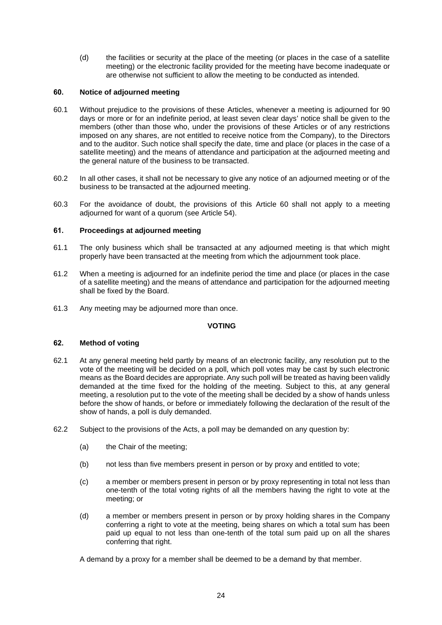(d) the facilities or security at the place of the meeting (or places in the case of a satellite meeting) or the electronic facility provided for the meeting have become inadequate or are otherwise not sufficient to allow the meeting to be conducted as intended.

# <span id="page-23-0"></span>**60. Notice of adjourned meeting**

- 60.1 Without prejudice to the provisions of these Articles, whenever a meeting is adjourned for 90 days or more or for an indefinite period, at least seven clear days' notice shall be given to the members (other than those who, under the provisions of these Articles or of any restrictions imposed on any shares, are not entitled to receive notice from the Company), to the Directors and to the auditor. Such notice shall specify the date, time and place (or places in the case of a satellite meeting) and the means of attendance and participation at the adjourned meeting and the general nature of the business to be transacted.
- 60.2 In all other cases, it shall not be necessary to give any notice of an adjourned meeting or of the business to be transacted at the adjourned meeting.
- 60.3 For the avoidance of doubt, the provisions of this Article [60](#page-23-0) shall not apply to a meeting adjourned for want of a quorum (see Article [54\)](#page-21-0).

# **61. Proceedings at adjourned meeting**

- 61.1 The only business which shall be transacted at any adjourned meeting is that which might properly have been transacted at the meeting from which the adjournment took place.
- 61.2 When a meeting is adjourned for an indefinite period the time and place (or places in the case of a satellite meeting) and the means of attendance and participation for the adjourned meeting shall be fixed by the Board.
- 61.3 Any meeting may be adjourned more than once.

# **VOTING**

### **62. Method of voting**

- 62.1 At any general meeting held partly by means of an electronic facility, any resolution put to the vote of the meeting will be decided on a poll, which poll votes may be cast by such electronic means as the Board decides are appropriate. Any such poll will be treated as having been validly demanded at the time fixed for the holding of the meeting. Subject to this, at any general meeting, a resolution put to the vote of the meeting shall be decided by a show of hands unless before the show of hands, or before or immediately following the declaration of the result of the show of hands, a poll is duly demanded.
- 62.2 Subject to the provisions of the Acts, a poll may be demanded on any question by:
	- (a) the Chair of the meeting;
	- (b) not less than five members present in person or by proxy and entitled to vote;
	- (c) a member or members present in person or by proxy representing in total not less than one-tenth of the total voting rights of all the members having the right to vote at the meeting; or
	- (d) a member or members present in person or by proxy holding shares in the Company conferring a right to vote at the meeting, being shares on which a total sum has been paid up equal to not less than one-tenth of the total sum paid up on all the shares conferring that right.

A demand by a proxy for a member shall be deemed to be a demand by that member.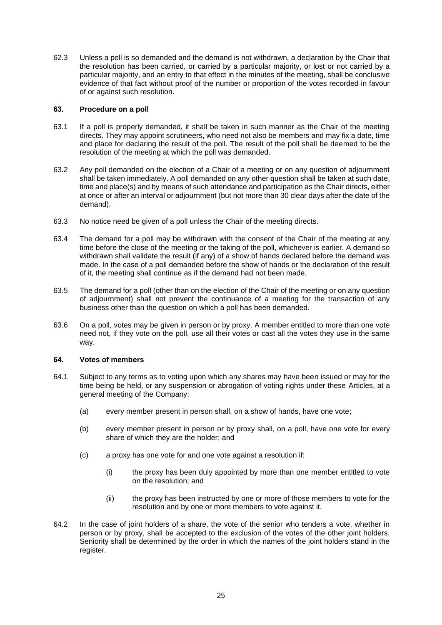62.3 Unless a poll is so demanded and the demand is not withdrawn, a declaration by the Chair that the resolution has been carried, or carried by a particular majority, or lost or not carried by a particular majority, and an entry to that effect in the minutes of the meeting, shall be conclusive evidence of that fact without proof of the number or proportion of the votes recorded in favour of or against such resolution.

# **63. Procedure on a poll**

- 63.1 If a poll is properly demanded, it shall be taken in such manner as the Chair of the meeting directs. They may appoint scrutineers, who need not also be members and may fix a date, time and place for declaring the result of the poll. The result of the poll shall be deemed to be the resolution of the meeting at which the poll was demanded.
- 63.2 Any poll demanded on the election of a Chair of a meeting or on any question of adjournment shall be taken immediately. A poll demanded on any other question shall be taken at such date, time and place(s) and by means of such attendance and participation as the Chair directs, either at once or after an interval or adjournment (but not more than 30 clear days after the date of the demand).
- 63.3 No notice need be given of a poll unless the Chair of the meeting directs.
- 63.4 The demand for a poll may be withdrawn with the consent of the Chair of the meeting at any time before the close of the meeting or the taking of the poll, whichever is earlier. A demand so withdrawn shall validate the result (if any) of a show of hands declared before the demand was made. In the case of a poll demanded before the show of hands or the declaration of the result of it, the meeting shall continue as if the demand had not been made.
- 63.5 The demand for a poll (other than on the election of the Chair of the meeting or on any question of adjournment) shall not prevent the continuance of a meeting for the transaction of any business other than the question on which a poll has been demanded.
- 63.6 On a poll, votes may be given in person or by proxy. A member entitled to more than one vote need not, if they vote on the poll, use all their votes or cast all the votes they use in the same way.

### **64. Votes of members**

- 64.1 Subject to any terms as to voting upon which any shares may have been issued or may for the time being be held, or any suspension or abrogation of voting rights under these Articles, at a general meeting of the Company:
	- (a) every member present in person shall, on a show of hands, have one vote;
	- (b) every member present in person or by proxy shall, on a poll, have one vote for every share of which they are the holder; and
	- (c) a proxy has one vote for and one vote against a resolution if:
		- (i) the proxy has been duly appointed by more than one member entitled to vote on the resolution; and
		- (ii) the proxy has been instructed by one or more of those members to vote for the resolution and by one or more members to vote against it.
- 64.2 In the case of joint holders of a share, the vote of the senior who tenders a vote, whether in person or by proxy, shall be accepted to the exclusion of the votes of the other joint holders. Seniority shall be determined by the order in which the names of the joint holders stand in the register.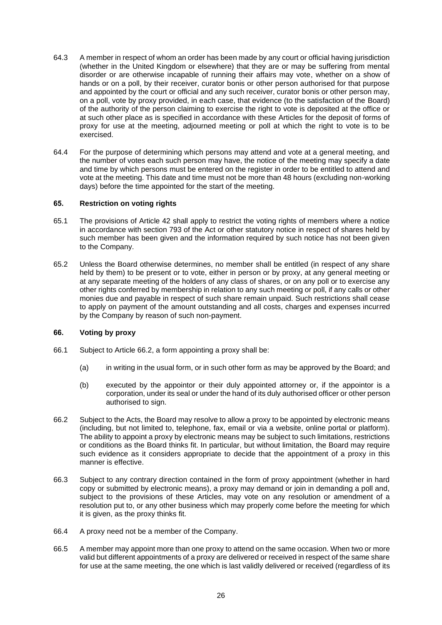- 64.3 A member in respect of whom an order has been made by any court or official having jurisdiction (whether in the United Kingdom or elsewhere) that they are or may be suffering from mental disorder or are otherwise incapable of running their affairs may vote, whether on a show of hands or on a poll, by their receiver, curator bonis or other person authorised for that purpose and appointed by the court or official and any such receiver, curator bonis or other person may, on a poll, vote by proxy provided, in each case, that evidence (to the satisfaction of the Board) of the authority of the person claiming to exercise the right to vote is deposited at the office or at such other place as is specified in accordance with these Articles for the deposit of forms of proxy for use at the meeting, adjourned meeting or poll at which the right to vote is to be exercised.
- 64.4 For the purpose of determining which persons may attend and vote at a general meeting, and the number of votes each such person may have, the notice of the meeting may specify a date and time by which persons must be entered on the register in order to be entitled to attend and vote at the meeting. This date and time must not be more than 48 hours (excluding non-working days) before the time appointed for the start of the meeting.

# **65. Restriction on voting rights**

- 65.1 The provisions of Article [42](#page-17-2) shall apply to restrict the voting rights of members where a notice in accordance with section 793 of the Act or other statutory notice in respect of shares held by such member has been given and the information required by such notice has not been given to the Company.
- 65.2 Unless the Board otherwise determines, no member shall be entitled (in respect of any share held by them) to be present or to vote, either in person or by proxy, at any general meeting or at any separate meeting of the holders of any class of shares, or on any poll or to exercise any other rights conferred by membership in relation to any such meeting or poll, if any calls or other monies due and payable in respect of such share remain unpaid. Such restrictions shall cease to apply on payment of the amount outstanding and all costs, charges and expenses incurred by the Company by reason of such non-payment.

# **66. Voting by proxy**

- 66.1 Subject to Article [66.2,](#page-25-0) a form appointing a proxy shall be:
	- (a) in writing in the usual form, or in such other form as may be approved by the Board; and
	- (b) executed by the appointor or their duly appointed attorney or, if the appointor is a corporation, under its seal or under the hand of its duly authorised officer or other person authorised to sign.
- <span id="page-25-0"></span>66.2 Subject to the Acts, the Board may resolve to allow a proxy to be appointed by electronic means (including, but not limited to, telephone, fax, email or via a website, online portal or platform). The ability to appoint a proxy by electronic means may be subject to such limitations, restrictions or conditions as the Board thinks fit. In particular, but without limitation, the Board may require such evidence as it considers appropriate to decide that the appointment of a proxy in this manner is effective.
- 66.3 Subject to any contrary direction contained in the form of proxy appointment (whether in hard copy or submitted by electronic means), a proxy may demand or join in demanding a poll and, subject to the provisions of these Articles, may vote on any resolution or amendment of a resolution put to, or any other business which may properly come before the meeting for which it is given, as the proxy thinks fit.
- 66.4 A proxy need not be a member of the Company.
- 66.5 A member may appoint more than one proxy to attend on the same occasion. When two or more valid but different appointments of a proxy are delivered or received in respect of the same share for use at the same meeting, the one which is last validly delivered or received (regardless of its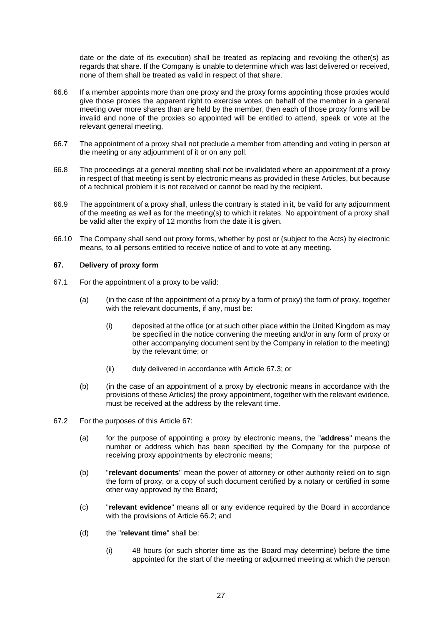date or the date of its execution) shall be treated as replacing and revoking the other(s) as regards that share. If the Company is unable to determine which was last delivered or received, none of them shall be treated as valid in respect of that share.

- 66.6 If a member appoints more than one proxy and the proxy forms appointing those proxies would give those proxies the apparent right to exercise votes on behalf of the member in a general meeting over more shares than are held by the member, then each of those proxy forms will be invalid and none of the proxies so appointed will be entitled to attend, speak or vote at the relevant general meeting.
- 66.7 The appointment of a proxy shall not preclude a member from attending and voting in person at the meeting or any adjournment of it or on any poll.
- 66.8 The proceedings at a general meeting shall not be invalidated where an appointment of a proxy in respect of that meeting is sent by electronic means as provided in these Articles, but because of a technical problem it is not received or cannot be read by the recipient.
- 66.9 The appointment of a proxy shall, unless the contrary is stated in it, be valid for any adjournment of the meeting as well as for the meeting(s) to which it relates. No appointment of a proxy shall be valid after the expiry of 12 months from the date it is given.
- 66.10 The Company shall send out proxy forms, whether by post or (subject to the Acts) by electronic means, to all persons entitled to receive notice of and to vote at any meeting.

# <span id="page-26-0"></span>**67. Delivery of proxy form**

- 67.1 For the appointment of a proxy to be valid:
	- (a) (in the case of the appointment of a proxy by a form of proxy) the form of proxy, together with the relevant documents, if any, must be:
		- (i) deposited at the office (or at such other place within the United Kingdom as may be specified in the notice convening the meeting and/or in any form of proxy or other accompanying document sent by the Company in relation to the meeting) by the relevant time; or
		- (ii) duly delivered in accordance with Article [67.3;](#page-27-0) or
	- (b) (in the case of an appointment of a proxy by electronic means in accordance with the provisions of these Articles) the proxy appointment, together with the relevant evidence, must be received at the address by the relevant time.
- <span id="page-26-1"></span>67.2 For the purposes of this Article [67:](#page-26-0)
	- (a) for the purpose of appointing a proxy by electronic means, the "**address**" means the number or address which has been specified by the Company for the purpose of receiving proxy appointments by electronic means;
	- (b) "**relevant documents**" mean the power of attorney or other authority relied on to sign the form of proxy, or a copy of such document certified by a notary or certified in some other way approved by the Board;
	- (c) "**relevant evidence**" means all or any evidence required by the Board in accordance with the provisions of Article [66.2;](#page-25-0) and
	- (d) the "**relevant time**" shall be:
		- (i) 48 hours (or such shorter time as the Board may determine) before the time appointed for the start of the meeting or adjourned meeting at which the person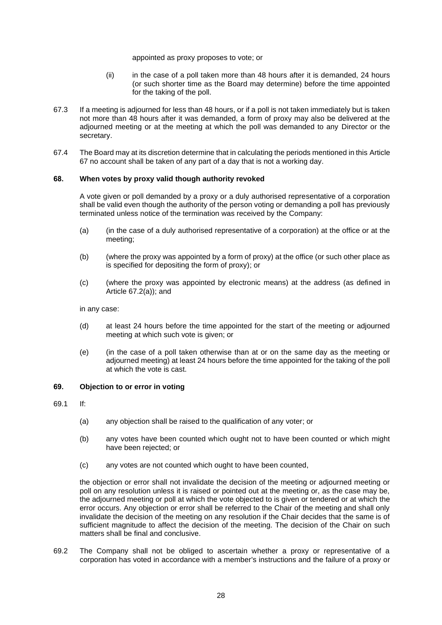appointed as proxy proposes to vote; or

- (ii) in the case of a poll taken more than 48 hours after it is demanded, 24 hours (or such shorter time as the Board may determine) before the time appointed for the taking of the poll.
- <span id="page-27-0"></span>67.3 If a meeting is adjourned for less than 48 hours, or if a poll is not taken immediately but is taken not more than 48 hours after it was demanded, a form of proxy may also be delivered at the adjourned meeting or at the meeting at which the poll was demanded to any Director or the secretary.
- 67.4 The Board may at its discretion determine that in calculating the periods mentioned in this Article [67](#page-26-0) no account shall be taken of any part of a day that is not a working day.

# **68. When votes by proxy valid though authority revoked**

A vote given or poll demanded by a proxy or a duly authorised representative of a corporation shall be valid even though the authority of the person voting or demanding a poll has previously terminated unless notice of the termination was received by the Company:

- (a) (in the case of a duly authorised representative of a corporation) at the office or at the meeting;
- (b) (where the proxy was appointed by a form of proxy) at the office (or such other place as is specified for depositing the form of proxy); or
- (c) (where the proxy was appointed by electronic means) at the address (as defined in Article [67.2\(a\)\)](#page-26-1); and

in any case:

- (d) at least 24 hours before the time appointed for the start of the meeting or adjourned meeting at which such vote is given; or
- (e) (in the case of a poll taken otherwise than at or on the same day as the meeting or adjourned meeting) at least 24 hours before the time appointed for the taking of the poll at which the vote is cast.

# **69. Objection to or error in voting**

69.1 If:

- (a) any objection shall be raised to the qualification of any voter; or
- (b) any votes have been counted which ought not to have been counted or which might have been rejected; or
- (c) any votes are not counted which ought to have been counted,

the objection or error shall not invalidate the decision of the meeting or adjourned meeting or poll on any resolution unless it is raised or pointed out at the meeting or, as the case may be, the adjourned meeting or poll at which the vote objected to is given or tendered or at which the error occurs. Any objection or error shall be referred to the Chair of the meeting and shall only invalidate the decision of the meeting on any resolution if the Chair decides that the same is of sufficient magnitude to affect the decision of the meeting. The decision of the Chair on such matters shall be final and conclusive.

69.2 The Company shall not be obliged to ascertain whether a proxy or representative of a corporation has voted in accordance with a member's instructions and the failure of a proxy or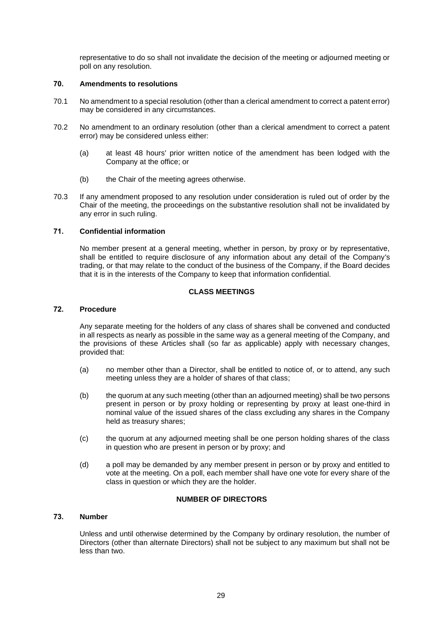representative to do so shall not invalidate the decision of the meeting or adjourned meeting or poll on any resolution.

# **70. Amendments to resolutions**

- 70.1 No amendment to a special resolution (other than a clerical amendment to correct a patent error) may be considered in any circumstances.
- 70.2 No amendment to an ordinary resolution (other than a clerical amendment to correct a patent error) may be considered unless either:
	- (a) at least 48 hours' prior written notice of the amendment has been lodged with the Company at the office; or
	- (b) the Chair of the meeting agrees otherwise.
- 70.3 If any amendment proposed to any resolution under consideration is ruled out of order by the Chair of the meeting, the proceedings on the substantive resolution shall not be invalidated by any error in such ruling.

# **71. Confidential information**

No member present at a general meeting, whether in person, by proxy or by representative, shall be entitled to require disclosure of any information about any detail of the Company's trading, or that may relate to the conduct of the business of the Company, if the Board decides that it is in the interests of the Company to keep that information confidential.

# **CLASS MEETINGS**

### **72. Procedure**

Any separate meeting for the holders of any class of shares shall be convened and conducted in all respects as nearly as possible in the same way as a general meeting of the Company, and the provisions of these Articles shall (so far as applicable) apply with necessary changes, provided that:

- (a) no member other than a Director, shall be entitled to notice of, or to attend, any such meeting unless they are a holder of shares of that class;
- (b) the quorum at any such meeting (other than an adjourned meeting) shall be two persons present in person or by proxy holding or representing by proxy at least one-third in nominal value of the issued shares of the class excluding any shares in the Company held as treasury shares;
- (c) the quorum at any adjourned meeting shall be one person holding shares of the class in question who are present in person or by proxy; and
- (d) a poll may be demanded by any member present in person or by proxy and entitled to vote at the meeting. On a poll, each member shall have one vote for every share of the class in question or which they are the holder.

# **NUMBER OF DIRECTORS**

# **73. Number**

Unless and until otherwise determined by the Company by ordinary resolution, the number of Directors (other than alternate Directors) shall not be subject to any maximum but shall not be less than two.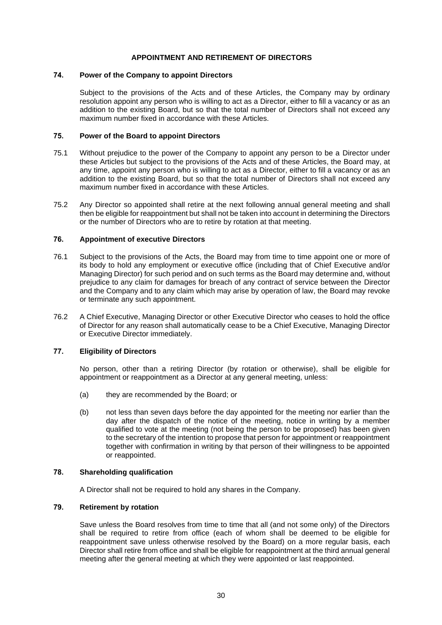# **APPOINTMENT AND RETIREMENT OF DIRECTORS**

#### **74. Power of the Company to appoint Directors**

Subject to the provisions of the Acts and of these Articles, the Company may by ordinary resolution appoint any person who is willing to act as a Director, either to fill a vacancy or as an addition to the existing Board, but so that the total number of Directors shall not exceed any maximum number fixed in accordance with these Articles.

### **75. Power of the Board to appoint Directors**

- 75.1 Without prejudice to the power of the Company to appoint any person to be a Director under these Articles but subject to the provisions of the Acts and of these Articles, the Board may, at any time, appoint any person who is willing to act as a Director, either to fill a vacancy or as an addition to the existing Board, but so that the total number of Directors shall not exceed any maximum number fixed in accordance with these Articles.
- 75.2 Any Director so appointed shall retire at the next following annual general meeting and shall then be eligible for reappointment but shall not be taken into account in determining the Directors or the number of Directors who are to retire by rotation at that meeting.

# **76. Appointment of executive Directors**

- 76.1 Subject to the provisions of the Acts, the Board may from time to time appoint one or more of its body to hold any employment or executive office (including that of Chief Executive and/or Managing Director) for such period and on such terms as the Board may determine and, without prejudice to any claim for damages for breach of any contract of service between the Director and the Company and to any claim which may arise by operation of law, the Board may revoke or terminate any such appointment.
- 76.2 A Chief Executive, Managing Director or other Executive Director who ceases to hold the office of Director for any reason shall automatically cease to be a Chief Executive, Managing Director or Executive Director immediately.

### **77. Eligibility of Directors**

No person, other than a retiring Director (by rotation or otherwise), shall be eligible for appointment or reappointment as a Director at any general meeting, unless:

- (a) they are recommended by the Board; or
- (b) not less than seven days before the day appointed for the meeting nor earlier than the day after the dispatch of the notice of the meeting, notice in writing by a member qualified to vote at the meeting (not being the person to be proposed) has been given to the secretary of the intention to propose that person for appointment or reappointment together with confirmation in writing by that person of their willingness to be appointed or reappointed.

# **78. Shareholding qualification**

A Director shall not be required to hold any shares in the Company.

# **79. Retirement by rotation**

Save unless the Board resolves from time to time that all (and not some only) of the Directors shall be required to retire from office (each of whom shall be deemed to be eligible for reappointment save unless otherwise resolved by the Board) on a more regular basis, each Director shall retire from office and shall be eligible for reappointment at the third annual general meeting after the general meeting at which they were appointed or last reappointed.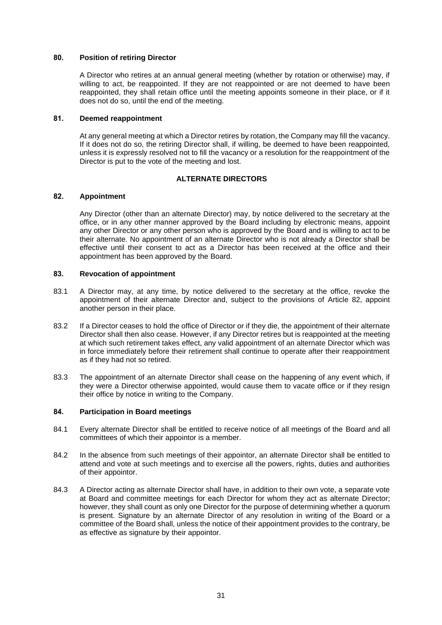### **80. Position of retiring Director**

A Director who retires at an annual general meeting (whether by rotation or otherwise) may, if willing to act, be reappointed. If they are not reappointed or are not deemed to have been reappointed, they shall retain office until the meeting appoints someone in their place, or if it does not do so, until the end of the meeting.

# **81. Deemed reappointment**

At any general meeting at which a Director retires by rotation, the Company may fill the vacancy. If it does not do so, the retiring Director shall, if willing, be deemed to have been reappointed, unless it is expressly resolved not to fill the vacancy or a resolution for the reappointment of the Director is put to the vote of the meeting and lost.

# **ALTERNATE DIRECTORS**

### <span id="page-30-0"></span>**82. Appointment**

Any Director (other than an alternate Director) may, by notice delivered to the secretary at the office, or in any other manner approved by the Board including by electronic means, appoint any other Director or any other person who is approved by the Board and is willing to act to be their alternate. No appointment of an alternate Director who is not already a Director shall be effective until their consent to act as a Director has been received at the office and their appointment has been approved by the Board.

# **83. Revocation of appointment**

- 83.1 A Director may, at any time, by notice delivered to the secretary at the office, revoke the appointment of their alternate Director and, subject to the provisions of Article [82,](#page-30-0) appoint another person in their place.
- 83.2 If a Director ceases to hold the office of Director or if they die, the appointment of their alternate Director shall then also cease. However, if any Director retires but is reappointed at the meeting at which such retirement takes effect, any valid appointment of an alternate Director which was in force immediately before their retirement shall continue to operate after their reappointment as if they had not so retired.
- 83.3 The appointment of an alternate Director shall cease on the happening of any event which, if they were a Director otherwise appointed, would cause them to vacate office or if they resign their office by notice in writing to the Company.

# **84. Participation in Board meetings**

- 84.1 Every alternate Director shall be entitled to receive notice of all meetings of the Board and all committees of which their appointor is a member.
- 84.2 In the absence from such meetings of their appointor, an alternate Director shall be entitled to attend and vote at such meetings and to exercise all the powers, rights, duties and authorities of their appointor.
- 84.3 A Director acting as alternate Director shall have, in addition to their own vote, a separate vote at Board and committee meetings for each Director for whom they act as alternate Director; however, they shall count as only one Director for the purpose of determining whether a quorum is present. Signature by an alternate Director of any resolution in writing of the Board or a committee of the Board shall, unless the notice of their appointment provides to the contrary, be as effective as signature by their appointor.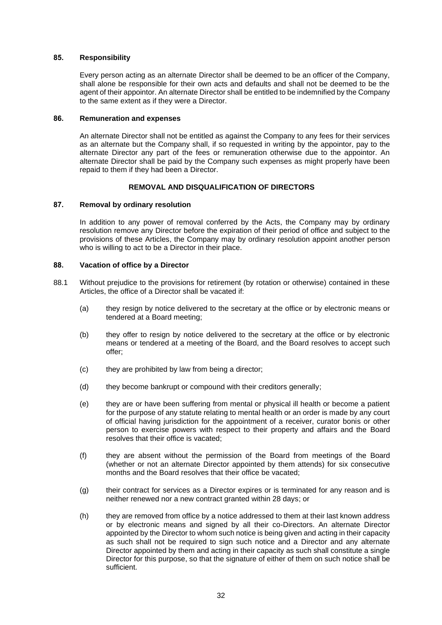### **85. Responsibility**

Every person acting as an alternate Director shall be deemed to be an officer of the Company, shall alone be responsible for their own acts and defaults and shall not be deemed to be the agent of their appointor. An alternate Director shall be entitled to be indemnified by the Company to the same extent as if they were a Director.

# **86. Remuneration and expenses**

An alternate Director shall not be entitled as against the Company to any fees for their services as an alternate but the Company shall, if so requested in writing by the appointor, pay to the alternate Director any part of the fees or remuneration otherwise due to the appointor. An alternate Director shall be paid by the Company such expenses as might properly have been repaid to them if they had been a Director.

### **REMOVAL AND DISQUALIFICATION OF DIRECTORS**

### **87. Removal by ordinary resolution**

In addition to any power of removal conferred by the Acts, the Company may by ordinary resolution remove any Director before the expiration of their period of office and subject to the provisions of these Articles, the Company may by ordinary resolution appoint another person who is willing to act to be a Director in their place.

# <span id="page-31-0"></span>**88. Vacation of office by a Director**

- 88.1 Without prejudice to the provisions for retirement (by rotation or otherwise) contained in these Articles, the office of a Director shall be vacated if:
	- (a) they resign by notice delivered to the secretary at the office or by electronic means or tendered at a Board meeting;
	- (b) they offer to resign by notice delivered to the secretary at the office or by electronic means or tendered at a meeting of the Board, and the Board resolves to accept such offer;
	- (c) they are prohibited by law from being a director;
	- (d) they become bankrupt or compound with their creditors generally;
	- (e) they are or have been suffering from mental or physical ill health or become a patient for the purpose of any statute relating to mental health or an order is made by any court of official having jurisdiction for the appointment of a receiver, curator bonis or other person to exercise powers with respect to their property and affairs and the Board resolves that their office is vacated;
	- (f) they are absent without the permission of the Board from meetings of the Board (whether or not an alternate Director appointed by them attends) for six consecutive months and the Board resolves that their office be vacated;
	- (g) their contract for services as a Director expires or is terminated for any reason and is neither renewed nor a new contract granted within 28 days; or
	- (h) they are removed from office by a notice addressed to them at their last known address or by electronic means and signed by all their co-Directors. An alternate Director appointed by the Director to whom such notice is being given and acting in their capacity as such shall not be required to sign such notice and a Director and any alternate Director appointed by them and acting in their capacity as such shall constitute a single Director for this purpose, so that the signature of either of them on such notice shall be sufficient.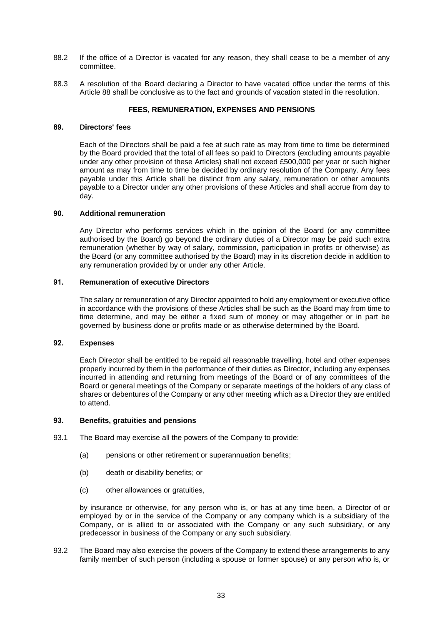- 88.2 If the office of a Director is vacated for any reason, they shall cease to be a member of any committee.
- 88.3 A resolution of the Board declaring a Director to have vacated office under the terms of this Article [88](#page-31-0) shall be conclusive as to the fact and grounds of vacation stated in the resolution.

# **FEES, REMUNERATION, EXPENSES AND PENSIONS**

### **89. Directors' fees**

Each of the Directors shall be paid a fee at such rate as may from time to time be determined by the Board provided that the total of all fees so paid to Directors (excluding amounts payable under any other provision of these Articles) shall not exceed £500,000 per year or such higher amount as may from time to time be decided by ordinary resolution of the Company. Any fees payable under this Article shall be distinct from any salary, remuneration or other amounts payable to a Director under any other provisions of these Articles and shall accrue from day to day.

# **90. Additional remuneration**

Any Director who performs services which in the opinion of the Board (or any committee authorised by the Board) go beyond the ordinary duties of a Director may be paid such extra remuneration (whether by way of salary, commission, participation in profits or otherwise) as the Board (or any committee authorised by the Board) may in its discretion decide in addition to any remuneration provided by or under any other Article.

# **91. Remuneration of executive Directors**

The salary or remuneration of any Director appointed to hold any employment or executive office in accordance with the provisions of these Articles shall be such as the Board may from time to time determine, and may be either a fixed sum of money or may altogether or in part be governed by business done or profits made or as otherwise determined by the Board.

# **92. Expenses**

Each Director shall be entitled to be repaid all reasonable travelling, hotel and other expenses properly incurred by them in the performance of their duties as Director, including any expenses incurred in attending and returning from meetings of the Board or of any committees of the Board or general meetings of the Company or separate meetings of the holders of any class of shares or debentures of the Company or any other meeting which as a Director they are entitled to attend.

### <span id="page-32-0"></span>**93. Benefits, gratuities and pensions**

- 93.1 The Board may exercise all the powers of the Company to provide:
	- (a) pensions or other retirement or superannuation benefits;
	- (b) death or disability benefits; or
	- (c) other allowances or gratuities,

by insurance or otherwise, for any person who is, or has at any time been, a Director of or employed by or in the service of the Company or any company which is a subsidiary of the Company, or is allied to or associated with the Company or any such subsidiary, or any predecessor in business of the Company or any such subsidiary.

93.2 The Board may also exercise the powers of the Company to extend these arrangements to any family member of such person (including a spouse or former spouse) or any person who is, or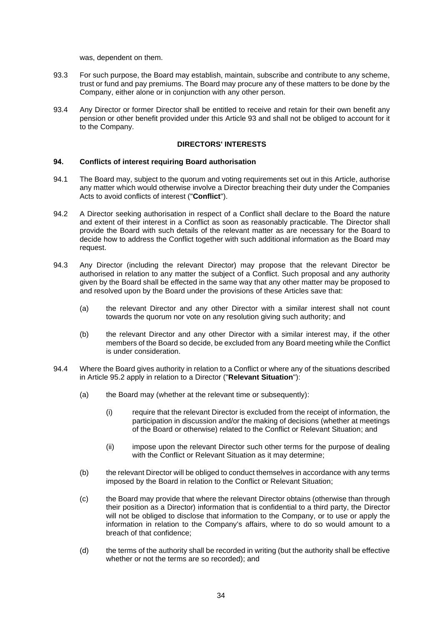was, dependent on them.

- 93.3 For such purpose, the Board may establish, maintain, subscribe and contribute to any scheme, trust or fund and pay premiums. The Board may procure any of these matters to be done by the Company, either alone or in conjunction with any other person.
- 93.4 Any Director or former Director shall be entitled to receive and retain for their own benefit any pension or other benefit provided under this Article [93](#page-32-0) and shall not be obliged to account for it to the Company.

### **DIRECTORS' INTERESTS**

# <span id="page-33-0"></span>**94. Conflicts of interest requiring Board authorisation**

- 94.1 The Board may, subject to the quorum and voting requirements set out in this Article, authorise any matter which would otherwise involve a Director breaching their duty under the Companies Acts to avoid conflicts of interest ("**Conflict**").
- 94.2 A Director seeking authorisation in respect of a Conflict shall declare to the Board the nature and extent of their interest in a Conflict as soon as reasonably practicable. The Director shall provide the Board with such details of the relevant matter as are necessary for the Board to decide how to address the Conflict together with such additional information as the Board may request.
- 94.3 Any Director (including the relevant Director) may propose that the relevant Director be authorised in relation to any matter the subject of a Conflict. Such proposal and any authority given by the Board shall be effected in the same way that any other matter may be proposed to and resolved upon by the Board under the provisions of these Articles save that:
	- (a) the relevant Director and any other Director with a similar interest shall not count towards the quorum nor vote on any resolution giving such authority; and
	- (b) the relevant Director and any other Director with a similar interest may, if the other members of the Board so decide, be excluded from any Board meeting while the Conflict is under consideration.
- 94.4 Where the Board gives authority in relation to a Conflict or where any of the situations described in Article [95.2](#page-34-0) apply in relation to a Director ("**Relevant Situation**"):
	- (a) the Board may (whether at the relevant time or subsequently):
		- (i) require that the relevant Director is excluded from the receipt of information, the participation in discussion and/or the making of decisions (whether at meetings of the Board or otherwise) related to the Conflict or Relevant Situation; and
		- (ii) impose upon the relevant Director such other terms for the purpose of dealing with the Conflict or Relevant Situation as it may determine;
	- (b) the relevant Director will be obliged to conduct themselves in accordance with any terms imposed by the Board in relation to the Conflict or Relevant Situation;
	- (c) the Board may provide that where the relevant Director obtains (otherwise than through their position as a Director) information that is confidential to a third party, the Director will not be obliged to disclose that information to the Company, or to use or apply the information in relation to the Company's affairs, where to do so would amount to a breach of that confidence;
	- (d) the terms of the authority shall be recorded in writing (but the authority shall be effective whether or not the terms are so recorded); and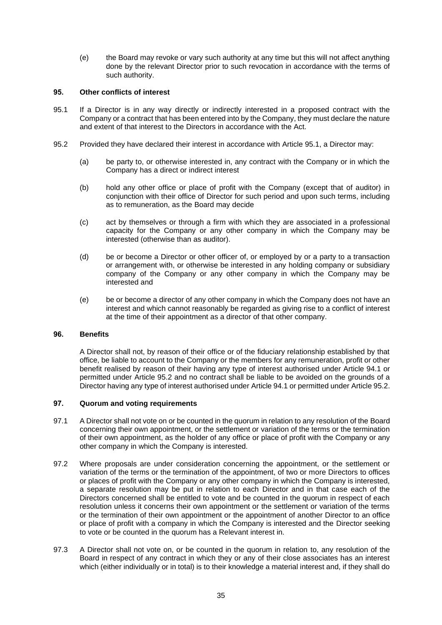(e) the Board may revoke or vary such authority at any time but this will not affect anything done by the relevant Director prior to such revocation in accordance with the terms of such authority.

# **95. Other conflicts of interest**

- 95.1 If a Director is in any way directly or indirectly interested in a proposed contract with the Company or a contract that has been entered into by the Company, they must declare the nature and extent of that interest to the Directors in accordance with the Act.
- <span id="page-34-0"></span>95.2 Provided they have declared their interest in accordance with Article 95.1, a Director may:
	- (a) be party to, or otherwise interested in, any contract with the Company or in which the Company has a direct or indirect interest
	- (b) hold any other office or place of profit with the Company (except that of auditor) in conjunction with their office of Director for such period and upon such terms, including as to remuneration, as the Board may decide
	- (c) act by themselves or through a firm with which they are associated in a professional capacity for the Company or any other company in which the Company may be interested (otherwise than as auditor).
	- (d) be or become a Director or other officer of, or employed by or a party to a transaction or arrangement with, or otherwise be interested in any holding company or subsidiary company of the Company or any other company in which the Company may be interested and
	- (e) be or become a director of any other company in which the Company does not have an interest and which cannot reasonably be regarded as giving rise to a conflict of interest at the time of their appointment as a director of that other company.

### **96. Benefits**

A Director shall not, by reason of their office or of the fiduciary relationship established by that office, be liable to account to the Company or the members for any remuneration, profit or other benefit realised by reason of their having any type of interest authorised under Article 94.1 or permitted under Article 95.2 and no contract shall be liable to be avoided on the grounds of a Director having any type of interest authorised under Article 94.1 or permitted under Article 95.2.

# <span id="page-34-1"></span>**97. Quorum and voting requirements**

- 97.1 A Director shall not vote on or be counted in the quorum in relation to any resolution of the Board concerning their own appointment, or the settlement or variation of the terms or the termination of their own appointment, as the holder of any office or place of profit with the Company or any other company in which the Company is interested.
- 97.2 Where proposals are under consideration concerning the appointment, or the settlement or variation of the terms or the termination of the appointment, of two or more Directors to offices or places of profit with the Company or any other company in which the Company is interested, a separate resolution may be put in relation to each Director and in that case each of the Directors concerned shall be entitled to vote and be counted in the quorum in respect of each resolution unless it concerns their own appointment or the settlement or variation of the terms or the termination of their own appointment or the appointment of another Director to an office or place of profit with a company in which the Company is interested and the Director seeking to vote or be counted in the quorum has a Relevant interest in.
- 97.3 A Director shall not vote on, or be counted in the quorum in relation to, any resolution of the Board in respect of any contract in which they or any of their close associates has an interest which (either individually or in total) is to their knowledge a material interest and, if they shall do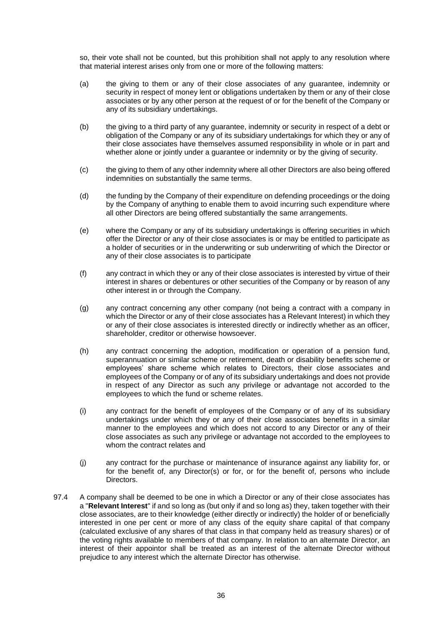so, their vote shall not be counted, but this prohibition shall not apply to any resolution where that material interest arises only from one or more of the following matters:

- (a) the giving to them or any of their close associates of any guarantee, indemnity or security in respect of money lent or obligations undertaken by them or any of their close associates or by any other person at the request of or for the benefit of the Company or any of its subsidiary undertakings.
- (b) the giving to a third party of any guarantee, indemnity or security in respect of a debt or obligation of the Company or any of its subsidiary undertakings for which they or any of their close associates have themselves assumed responsibility in whole or in part and whether alone or jointly under a guarantee or indemnity or by the giving of security.
- (c) the giving to them of any other indemnity where all other Directors are also being offered indemnities on substantially the same terms.
- (d) the funding by the Company of their expenditure on defending proceedings or the doing by the Company of anything to enable them to avoid incurring such expenditure where all other Directors are being offered substantially the same arrangements.
- (e) where the Company or any of its subsidiary undertakings is offering securities in which offer the Director or any of their close associates is or may be entitled to participate as a holder of securities or in the underwriting or sub underwriting of which the Director or any of their close associates is to participate
- (f) any contract in which they or any of their close associates is interested by virtue of their interest in shares or debentures or other securities of the Company or by reason of any other interest in or through the Company.
- (g) any contract concerning any other company (not being a contract with a company in which the Director or any of their close associates has a Relevant Interest) in which they or any of their close associates is interested directly or indirectly whether as an officer, shareholder, creditor or otherwise howsoever.
- (h) any contract concerning the adoption, modification or operation of a pension fund, superannuation or similar scheme or retirement, death or disability benefits scheme or employees' share scheme which relates to Directors, their close associates and employees of the Company or of any of its subsidiary undertakings and does not provide in respect of any Director as such any privilege or advantage not accorded to the employees to which the fund or scheme relates.
- (i) any contract for the benefit of employees of the Company or of any of its subsidiary undertakings under which they or any of their close associates benefits in a similar manner to the employees and which does not accord to any Director or any of their close associates as such any privilege or advantage not accorded to the employees to whom the contract relates and
- (j) any contract for the purchase or maintenance of insurance against any liability for, or for the benefit of, any Director(s) or for, or for the benefit of, persons who include Directors.
- 97.4 A company shall be deemed to be one in which a Director or any of their close associates has a "**Relevant Interest**" if and so long as (but only if and so long as) they, taken together with their close associates, are to their knowledge (either directly or indirectly) the holder of or beneficially interested in one per cent or more of any class of the equity share capital of that company (calculated exclusive of any shares of that class in that company held as treasury shares) or of the voting rights available to members of that company. In relation to an alternate Director, an interest of their appointor shall be treated as an interest of the alternate Director without prejudice to any interest which the alternate Director has otherwise.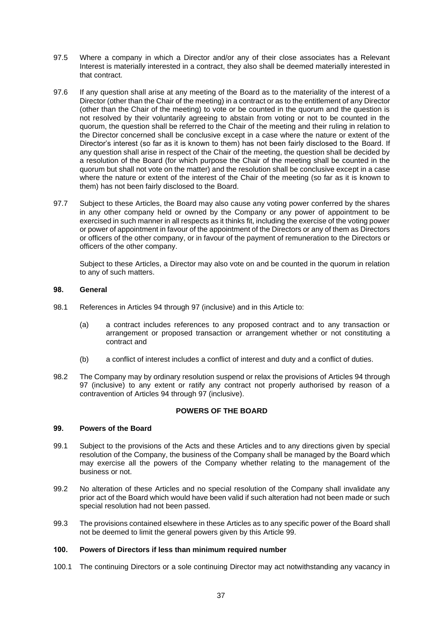- 97.5 Where a company in which a Director and/or any of their close associates has a Relevant Interest is materially interested in a contract, they also shall be deemed materially interested in that contract.
- 97.6 If any question shall arise at any meeting of the Board as to the materiality of the interest of a Director (other than the Chair of the meeting) in a contract or as to the entitlement of any Director (other than the Chair of the meeting) to vote or be counted in the quorum and the question is not resolved by their voluntarily agreeing to abstain from voting or not to be counted in the quorum, the question shall be referred to the Chair of the meeting and their ruling in relation to the Director concerned shall be conclusive except in a case where the nature or extent of the Director's interest (so far as it is known to them) has not been fairly disclosed to the Board. If any question shall arise in respect of the Chair of the meeting, the question shall be decided by a resolution of the Board (for which purpose the Chair of the meeting shall be counted in the quorum but shall not vote on the matter) and the resolution shall be conclusive except in a case where the nature or extent of the interest of the Chair of the meeting (so far as it is known to them) has not been fairly disclosed to the Board.
- 97.7 Subject to these Articles, the Board may also cause any voting power conferred by the shares in any other company held or owned by the Company or any power of appointment to be exercised in such manner in all respects as it thinks fit, including the exercise of the voting power or power of appointment in favour of the appointment of the Directors or any of them as Directors or officers of the other company, or in favour of the payment of remuneration to the Directors or officers of the other company.

Subject to these Articles, a Director may also vote on and be counted in the quorum in relation to any of such matters.

# **98. General**

- 98.1 References in Articles [94](#page-33-0) through [97](#page-34-1) (inclusive) and in this Article to:
	- (a) a contract includes references to any proposed contract and to any transaction or arrangement or proposed transaction or arrangement whether or not constituting a contract and
	- (b) a conflict of interest includes a conflict of interest and duty and a conflict of duties.
- 98.2 The Company may by ordinary resolution suspend or relax the provisions of Articles [94](#page-33-0) through [97](#page-34-1) (inclusive) to any extent or ratify any contract not properly authorised by reason of a contravention of Articles [94](#page-33-0) through [97](#page-34-1) (inclusive).

# **POWERS OF THE BOARD**

# <span id="page-36-0"></span>**99. Powers of the Board**

- 99.1 Subject to the provisions of the Acts and these Articles and to any directions given by special resolution of the Company, the business of the Company shall be managed by the Board which may exercise all the powers of the Company whether relating to the management of the business or not.
- 99.2 No alteration of these Articles and no special resolution of the Company shall invalidate any prior act of the Board which would have been valid if such alteration had not been made or such special resolution had not been passed.
- 99.3 The provisions contained elsewhere in these Articles as to any specific power of the Board shall not be deemed to limit the general powers given by this Article [99.](#page-36-0)

# **100. Powers of Directors if less than minimum required number**

100.1 The continuing Directors or a sole continuing Director may act notwithstanding any vacancy in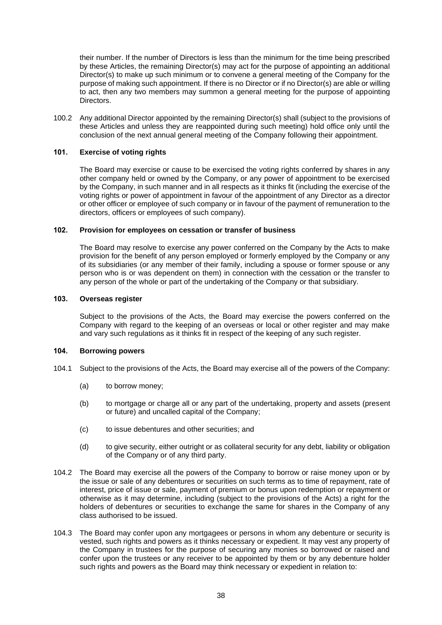their number. If the number of Directors is less than the minimum for the time being prescribed by these Articles, the remaining Director(s) may act for the purpose of appointing an additional Director(s) to make up such minimum or to convene a general meeting of the Company for the purpose of making such appointment. If there is no Director or if no Director(s) are able or willing to act, then any two members may summon a general meeting for the purpose of appointing Directors.

100.2 Any additional Director appointed by the remaining Director(s) shall (subject to the provisions of these Articles and unless they are reappointed during such meeting) hold office only until the conclusion of the next annual general meeting of the Company following their appointment.

# **101. Exercise of voting rights**

The Board may exercise or cause to be exercised the voting rights conferred by shares in any other company held or owned by the Company, or any power of appointment to be exercised by the Company, in such manner and in all respects as it thinks fit (including the exercise of the voting rights or power of appointment in favour of the appointment of any Director as a director or other officer or employee of such company or in favour of the payment of remuneration to the directors, officers or employees of such company).

### **102. Provision for employees on cessation or transfer of business**

The Board may resolve to exercise any power conferred on the Company by the Acts to make provision for the benefit of any person employed or formerly employed by the Company or any of its subsidiaries (or any member of their family, including a spouse or former spouse or any person who is or was dependent on them) in connection with the cessation or the transfer to any person of the whole or part of the undertaking of the Company or that subsidiary.

# **103. Overseas register**

Subject to the provisions of the Acts, the Board may exercise the powers conferred on the Company with regard to the keeping of an overseas or local or other register and may make and vary such regulations as it thinks fit in respect of the keeping of any such register.

### **104. Borrowing powers**

- 104.1 Subject to the provisions of the Acts, the Board may exercise all of the powers of the Company:
	- (a) to borrow money;
	- (b) to mortgage or charge all or any part of the undertaking, property and assets (present or future) and uncalled capital of the Company;
	- (c) to issue debentures and other securities; and
	- (d) to give security, either outright or as collateral security for any debt, liability or obligation of the Company or of any third party.
- 104.2 The Board may exercise all the powers of the Company to borrow or raise money upon or by the issue or sale of any debentures or securities on such terms as to time of repayment, rate of interest, price of issue or sale, payment of premium or bonus upon redemption or repayment or otherwise as it may determine, including (subject to the provisions of the Acts) a right for the holders of debentures or securities to exchange the same for shares in the Company of any class authorised to be issued.
- 104.3 The Board may confer upon any mortgagees or persons in whom any debenture or security is vested, such rights and powers as it thinks necessary or expedient. It may vest any property of the Company in trustees for the purpose of securing any monies so borrowed or raised and confer upon the trustees or any receiver to be appointed by them or by any debenture holder such rights and powers as the Board may think necessary or expedient in relation to: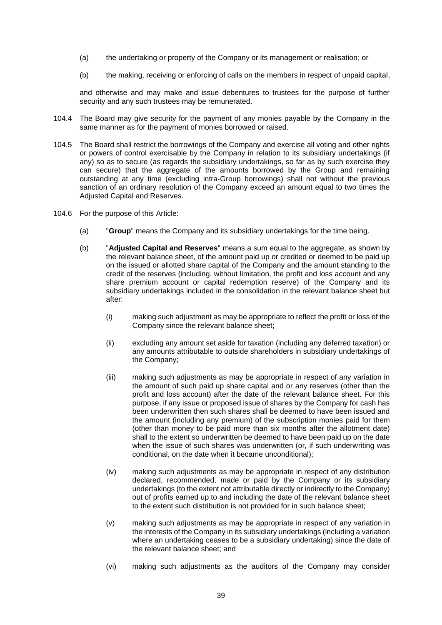- (a) the undertaking or property of the Company or its management or realisation; or
- (b) the making, receiving or enforcing of calls on the members in respect of unpaid capital,

and otherwise and may make and issue debentures to trustees for the purpose of further security and any such trustees may be remunerated.

- 104.4 The Board may give security for the payment of any monies payable by the Company in the same manner as for the payment of monies borrowed or raised.
- 104.5 The Board shall restrict the borrowings of the Company and exercise all voting and other rights or powers of control exercisable by the Company in relation to its subsidiary undertakings (if any) so as to secure (as regards the subsidiary undertakings, so far as by such exercise they can secure) that the aggregate of the amounts borrowed by the Group and remaining outstanding at any time (excluding intra-Group borrowings) shall not without the previous sanction of an ordinary resolution of the Company exceed an amount equal to two times the Adjusted Capital and Reserves.
- 104.6 For the purpose of this Article:
	- (a) "**Group**" means the Company and its subsidiary undertakings for the time being.
	- (b) "**Adjusted Capital and Reserves**" means a sum equal to the aggregate, as shown by the relevant balance sheet, of the amount paid up or credited or deemed to be paid up on the issued or allotted share capital of the Company and the amount standing to the credit of the reserves (including, without limitation, the profit and loss account and any share premium account or capital redemption reserve) of the Company and its subsidiary undertakings included in the consolidation in the relevant balance sheet but after:
		- (i) making such adjustment as may be appropriate to reflect the profit or loss of the Company since the relevant balance sheet;
		- (ii) excluding any amount set aside for taxation (including any deferred taxation) or any amounts attributable to outside shareholders in subsidiary undertakings of the Company;
		- (iii) making such adjustments as may be appropriate in respect of any variation in the amount of such paid up share capital and or any reserves (other than the profit and loss account) after the date of the relevant balance sheet. For this purpose, if any issue or proposed issue of shares by the Company for cash has been underwritten then such shares shall be deemed to have been issued and the amount (including any premium) of the subscription monies paid for them (other than money to be paid more than six months after the allotment date) shall to the extent so underwritten be deemed to have been paid up on the date when the issue of such shares was underwritten (or, if such underwriting was conditional, on the date when it became unconditional);
		- (iv) making such adjustments as may be appropriate in respect of any distribution declared, recommended, made or paid by the Company or its subsidiary undertakings (to the extent not attributable directly or indirectly to the Company) out of profits earned up to and including the date of the relevant balance sheet to the extent such distribution is not provided for in such balance sheet;
		- (v) making such adjustments as may be appropriate in respect of any variation in the interests of the Company in its subsidiary undertakings (including a variation where an undertaking ceases to be a subsidiary undertaking) since the date of the relevant balance sheet; and
		- (vi) making such adjustments as the auditors of the Company may consider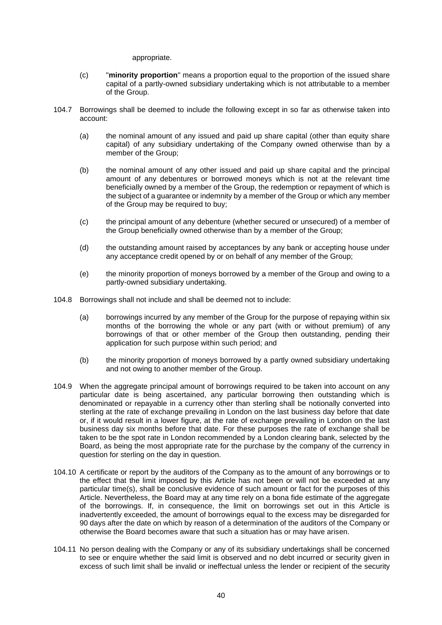#### appropriate.

- (c) "**minority proportion**" means a proportion equal to the proportion of the issued share capital of a partly-owned subsidiary undertaking which is not attributable to a member of the Group.
- 104.7 Borrowings shall be deemed to include the following except in so far as otherwise taken into account:
	- (a) the nominal amount of any issued and paid up share capital (other than equity share capital) of any subsidiary undertaking of the Company owned otherwise than by a member of the Group;
	- (b) the nominal amount of any other issued and paid up share capital and the principal amount of any debentures or borrowed moneys which is not at the relevant time beneficially owned by a member of the Group, the redemption or repayment of which is the subject of a guarantee or indemnity by a member of the Group or which any member of the Group may be required to buy;
	- (c) the principal amount of any debenture (whether secured or unsecured) of a member of the Group beneficially owned otherwise than by a member of the Group;
	- (d) the outstanding amount raised by acceptances by any bank or accepting house under any acceptance credit opened by or on behalf of any member of the Group;
	- (e) the minority proportion of moneys borrowed by a member of the Group and owing to a partly-owned subsidiary undertaking.
- 104.8 Borrowings shall not include and shall be deemed not to include:
	- (a) borrowings incurred by any member of the Group for the purpose of repaying within six months of the borrowing the whole or any part (with or without premium) of any borrowings of that or other member of the Group then outstanding, pending their application for such purpose within such period; and
	- (b) the minority proportion of moneys borrowed by a partly owned subsidiary undertaking and not owing to another member of the Group.
- 104.9 When the aggregate principal amount of borrowings required to be taken into account on any particular date is being ascertained, any particular borrowing then outstanding which is denominated or repayable in a currency other than sterling shall be notionally converted into sterling at the rate of exchange prevailing in London on the last business day before that date or, if it would result in a lower figure, at the rate of exchange prevailing in London on the last business day six months before that date. For these purposes the rate of exchange shall be taken to be the spot rate in London recommended by a London clearing bank, selected by the Board, as being the most appropriate rate for the purchase by the company of the currency in question for sterling on the day in question.
- 104.10 A certificate or report by the auditors of the Company as to the amount of any borrowings or to the effect that the limit imposed by this Article has not been or will not be exceeded at any particular time(s), shall be conclusive evidence of such amount or fact for the purposes of this Article. Nevertheless, the Board may at any time rely on a bona fide estimate of the aggregate of the borrowings. If, in consequence, the limit on borrowings set out in this Article is inadvertently exceeded, the amount of borrowings equal to the excess may be disregarded for 90 days after the date on which by reason of a determination of the auditors of the Company or otherwise the Board becomes aware that such a situation has or may have arisen.
- 104.11 No person dealing with the Company or any of its subsidiary undertakings shall be concerned to see or enquire whether the said limit is observed and no debt incurred or security given in excess of such limit shall be invalid or ineffectual unless the lender or recipient of the security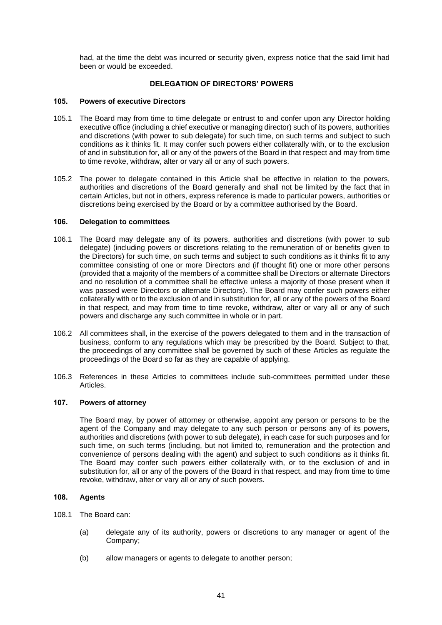had, at the time the debt was incurred or security given, express notice that the said limit had been or would be exceeded.

# **DELEGATION OF DIRECTORS' POWERS**

#### **105. Powers of executive Directors**

- 105.1 The Board may from time to time delegate or entrust to and confer upon any Director holding executive office (including a chief executive or managing director) such of its powers, authorities and discretions (with power to sub delegate) for such time, on such terms and subject to such conditions as it thinks fit. It may confer such powers either collaterally with, or to the exclusion of and in substitution for, all or any of the powers of the Board in that respect and may from time to time revoke, withdraw, alter or vary all or any of such powers.
- 105.2 The power to delegate contained in this Article shall be effective in relation to the powers, authorities and discretions of the Board generally and shall not be limited by the fact that in certain Articles, but not in others, express reference is made to particular powers, authorities or discretions being exercised by the Board or by a committee authorised by the Board.

# **106. Delegation to committees**

- 106.1 The Board may delegate any of its powers, authorities and discretions (with power to sub delegate) (including powers or discretions relating to the remuneration of or benefits given to the Directors) for such time, on such terms and subject to such conditions as it thinks fit to any committee consisting of one or more Directors and (if thought fit) one or more other persons (provided that a majority of the members of a committee shall be Directors or alternate Directors and no resolution of a committee shall be effective unless a majority of those present when it was passed were Directors or alternate Directors). The Board may confer such powers either collaterally with or to the exclusion of and in substitution for, all or any of the powers of the Board in that respect, and may from time to time revoke, withdraw, alter or vary all or any of such powers and discharge any such committee in whole or in part.
- 106.2 All committees shall, in the exercise of the powers delegated to them and in the transaction of business, conform to any regulations which may be prescribed by the Board. Subject to that, the proceedings of any committee shall be governed by such of these Articles as regulate the proceedings of the Board so far as they are capable of applying.
- 106.3 References in these Articles to committees include sub-committees permitted under these Articles.

# **107. Powers of attorney**

The Board may, by power of attorney or otherwise, appoint any person or persons to be the agent of the Company and may delegate to any such person or persons any of its powers, authorities and discretions (with power to sub delegate), in each case for such purposes and for such time, on such terms (including, but not limited to, remuneration and the protection and convenience of persons dealing with the agent) and subject to such conditions as it thinks fit. The Board may confer such powers either collaterally with, or to the exclusion of and in substitution for, all or any of the powers of the Board in that respect, and may from time to time revoke, withdraw, alter or vary all or any of such powers.

### **108. Agents**

- 108.1 The Board can:
	- (a) delegate any of its authority, powers or discretions to any manager or agent of the Company;
	- (b) allow managers or agents to delegate to another person;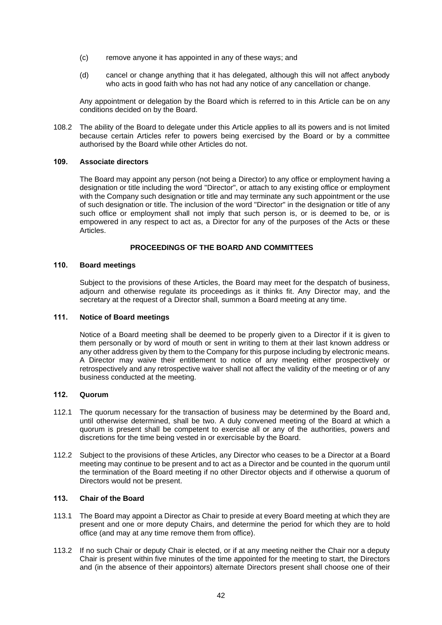- (c) remove anyone it has appointed in any of these ways; and
- (d) cancel or change anything that it has delegated, although this will not affect anybody who acts in good faith who has not had any notice of any cancellation or change.

Any appointment or delegation by the Board which is referred to in this Article can be on any conditions decided on by the Board.

108.2 The ability of the Board to delegate under this Article applies to all its powers and is not limited because certain Articles refer to powers being exercised by the Board or by a committee authorised by the Board while other Articles do not.

# **109. Associate directors**

The Board may appoint any person (not being a Director) to any office or employment having a designation or title including the word "Director", or attach to any existing office or employment with the Company such designation or title and may terminate any such appointment or the use of such designation or title. The inclusion of the word "Director" in the designation or title of any such office or employment shall not imply that such person is, or is deemed to be, or is empowered in any respect to act as, a Director for any of the purposes of the Acts or these Articles.

# **PROCEEDINGS OF THE BOARD AND COMMITTEES**

# **110. Board meetings**

Subject to the provisions of these Articles, the Board may meet for the despatch of business, adjourn and otherwise regulate its proceedings as it thinks fit. Any Director may, and the secretary at the request of a Director shall, summon a Board meeting at any time.

### **111. Notice of Board meetings**

Notice of a Board meeting shall be deemed to be properly given to a Director if it is given to them personally or by word of mouth or sent in writing to them at their last known address or any other address given by them to the Company for this purpose including by electronic means. A Director may waive their entitlement to notice of any meeting either prospectively or retrospectively and any retrospective waiver shall not affect the validity of the meeting or of any business conducted at the meeting.

# **112. Quorum**

- 112.1 The quorum necessary for the transaction of business may be determined by the Board and, until otherwise determined, shall be two. A duly convened meeting of the Board at which a quorum is present shall be competent to exercise all or any of the authorities, powers and discretions for the time being vested in or exercisable by the Board.
- 112.2 Subject to the provisions of these Articles, any Director who ceases to be a Director at a Board meeting may continue to be present and to act as a Director and be counted in the quorum until the termination of the Board meeting if no other Director objects and if otherwise a quorum of Directors would not be present.

### **113. Chair of the Board**

- 113.1 The Board may appoint a Director as Chair to preside at every Board meeting at which they are present and one or more deputy Chairs, and determine the period for which they are to hold office (and may at any time remove them from office).
- 113.2 If no such Chair or deputy Chair is elected, or if at any meeting neither the Chair nor a deputy Chair is present within five minutes of the time appointed for the meeting to start, the Directors and (in the absence of their appointors) alternate Directors present shall choose one of their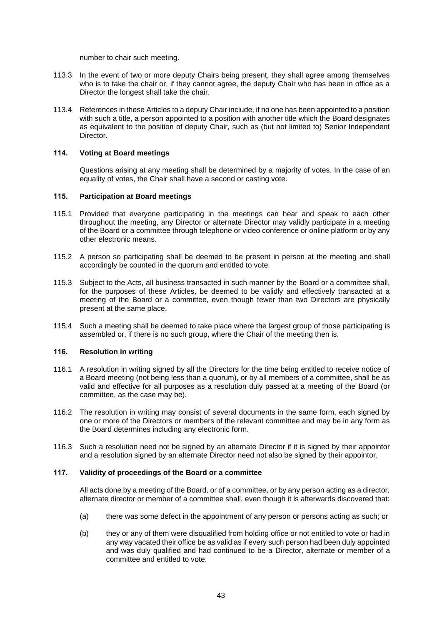number to chair such meeting.

- 113.3 In the event of two or more deputy Chairs being present, they shall agree among themselves who is to take the chair or, if they cannot agree, the deputy Chair who has been in office as a Director the longest shall take the chair.
- 113.4 References in these Articles to a deputy Chair include, if no one has been appointed to a position with such a title, a person appointed to a position with another title which the Board designates as equivalent to the position of deputy Chair, such as (but not limited to) Senior Independent Director.

# **114. Voting at Board meetings**

Questions arising at any meeting shall be determined by a majority of votes. In the case of an equality of votes, the Chair shall have a second or casting vote.

### **115. Participation at Board meetings**

- 115.1 Provided that everyone participating in the meetings can hear and speak to each other throughout the meeting, any Director or alternate Director may validly participate in a meeting of the Board or a committee through telephone or video conference or online platform or by any other electronic means.
- 115.2 A person so participating shall be deemed to be present in person at the meeting and shall accordingly be counted in the quorum and entitled to vote.
- 115.3 Subject to the Acts, all business transacted in such manner by the Board or a committee shall, for the purposes of these Articles, be deemed to be validly and effectively transacted at a meeting of the Board or a committee, even though fewer than two Directors are physically present at the same place.
- 115.4 Such a meeting shall be deemed to take place where the largest group of those participating is assembled or, if there is no such group, where the Chair of the meeting then is.

### **116. Resolution in writing**

- 116.1 A resolution in writing signed by all the Directors for the time being entitled to receive notice of a Board meeting (not being less than a quorum), or by all members of a committee, shall be as valid and effective for all purposes as a resolution duly passed at a meeting of the Board (or committee, as the case may be).
- 116.2 The resolution in writing may consist of several documents in the same form, each signed by one or more of the Directors or members of the relevant committee and may be in any form as the Board determines including any electronic form.
- 116.3 Such a resolution need not be signed by an alternate Director if it is signed by their appointor and a resolution signed by an alternate Director need not also be signed by their appointor.

### **117. Validity of proceedings of the Board or a committee**

All acts done by a meeting of the Board, or of a committee, or by any person acting as a director, alternate director or member of a committee shall, even though it is afterwards discovered that:

- (a) there was some defect in the appointment of any person or persons acting as such; or
- (b) they or any of them were disqualified from holding office or not entitled to vote or had in any way vacated their office be as valid as if every such person had been duly appointed and was duly qualified and had continued to be a Director, alternate or member of a committee and entitled to vote.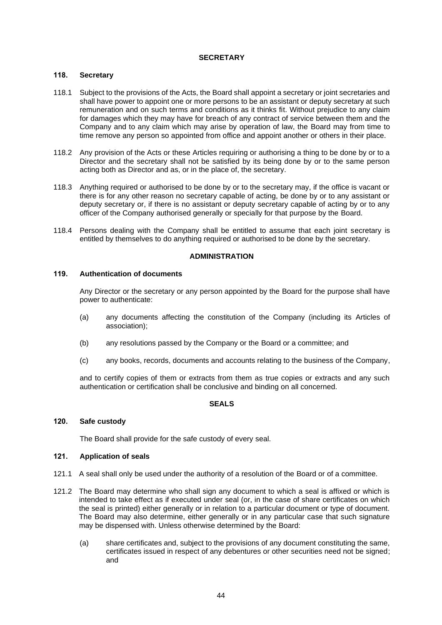# **SECRETARY**

# **118. Secretary**

- 118.1 Subject to the provisions of the Acts, the Board shall appoint a secretary or joint secretaries and shall have power to appoint one or more persons to be an assistant or deputy secretary at such remuneration and on such terms and conditions as it thinks fit. Without prejudice to any claim for damages which they may have for breach of any contract of service between them and the Company and to any claim which may arise by operation of law, the Board may from time to time remove any person so appointed from office and appoint another or others in their place.
- 118.2 Any provision of the Acts or these Articles requiring or authorising a thing to be done by or to a Director and the secretary shall not be satisfied by its being done by or to the same person acting both as Director and as, or in the place of, the secretary.
- 118.3 Anything required or authorised to be done by or to the secretary may, if the office is vacant or there is for any other reason no secretary capable of acting, be done by or to any assistant or deputy secretary or, if there is no assistant or deputy secretary capable of acting by or to any officer of the Company authorised generally or specially for that purpose by the Board.
- 118.4 Persons dealing with the Company shall be entitled to assume that each joint secretary is entitled by themselves to do anything required or authorised to be done by the secretary.

### **ADMINISTRATION**

# **119. Authentication of documents**

Any Director or the secretary or any person appointed by the Board for the purpose shall have power to authenticate:

- (a) any documents affecting the constitution of the Company (including its Articles of association);
- (b) any resolutions passed by the Company or the Board or a committee; and
- (c) any books, records, documents and accounts relating to the business of the Company,

and to certify copies of them or extracts from them as true copies or extracts and any such authentication or certification shall be conclusive and binding on all concerned.

### **SEALS**

### **120. Safe custody**

The Board shall provide for the safe custody of every seal.

#### **121. Application of seals**

- 121.1 A seal shall only be used under the authority of a resolution of the Board or of a committee.
- 121.2 The Board may determine who shall sign any document to which a seal is affixed or which is intended to take effect as if executed under seal (or, in the case of share certificates on which the seal is printed) either generally or in relation to a particular document or type of document. The Board may also determine, either generally or in any particular case that such signature may be dispensed with. Unless otherwise determined by the Board:
	- (a) share certificates and, subject to the provisions of any document constituting the same, certificates issued in respect of any debentures or other securities need not be signed; and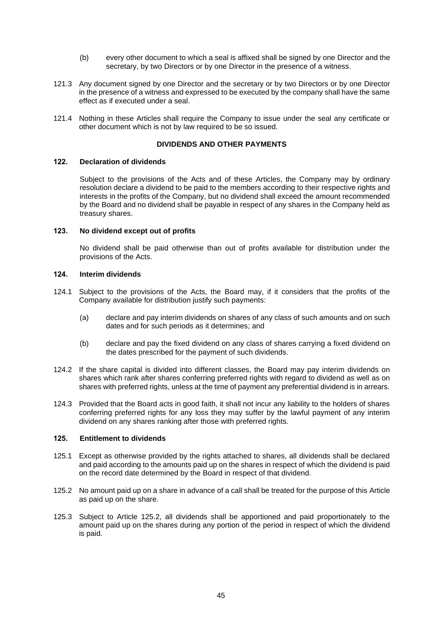- (b) every other document to which a seal is affixed shall be signed by one Director and the secretary, by two Directors or by one Director in the presence of a witness.
- 121.3 Any document signed by one Director and the secretary or by two Directors or by one Director in the presence of a witness and expressed to be executed by the company shall have the same effect as if executed under a seal.
- 121.4 Nothing in these Articles shall require the Company to issue under the seal any certificate or other document which is not by law required to be so issued.

# **DIVIDENDS AND OTHER PAYMENTS**

### <span id="page-44-1"></span>**122. Declaration of dividends**

Subject to the provisions of the Acts and of these Articles, the Company may by ordinary resolution declare a dividend to be paid to the members according to their respective rights and interests in the profits of the Company, but no dividend shall exceed the amount recommended by the Board and no dividend shall be payable in respect of any shares in the Company held as treasury shares.

### **123. No dividend except out of profits**

No dividend shall be paid otherwise than out of profits available for distribution under the provisions of the Acts.

# **124. Interim dividends**

- 124.1 Subject to the provisions of the Acts, the Board may, if it considers that the profits of the Company available for distribution justify such payments:
	- (a) declare and pay interim dividends on shares of any class of such amounts and on such dates and for such periods as it determines; and
	- (b) declare and pay the fixed dividend on any class of shares carrying a fixed dividend on the dates prescribed for the payment of such dividends.
- 124.2 If the share capital is divided into different classes, the Board may pay interim dividends on shares which rank after shares conferring preferred rights with regard to dividend as well as on shares with preferred rights, unless at the time of payment any preferential dividend is in arrears.
- 124.3 Provided that the Board acts in good faith, it shall not incur any liability to the holders of shares conferring preferred rights for any loss they may suffer by the lawful payment of any interim dividend on any shares ranking after those with preferred rights.

# **125. Entitlement to dividends**

- 125.1 Except as otherwise provided by the rights attached to shares, all dividends shall be declared and paid according to the amounts paid up on the shares in respect of which the dividend is paid on the record date determined by the Board in respect of that dividend.
- <span id="page-44-0"></span>125.2 No amount paid up on a share in advance of a call shall be treated for the purpose of this Article as paid up on the share.
- 125.3 Subject to Article [125.2,](#page-44-0) all dividends shall be apportioned and paid proportionately to the amount paid up on the shares during any portion of the period in respect of which the dividend is paid.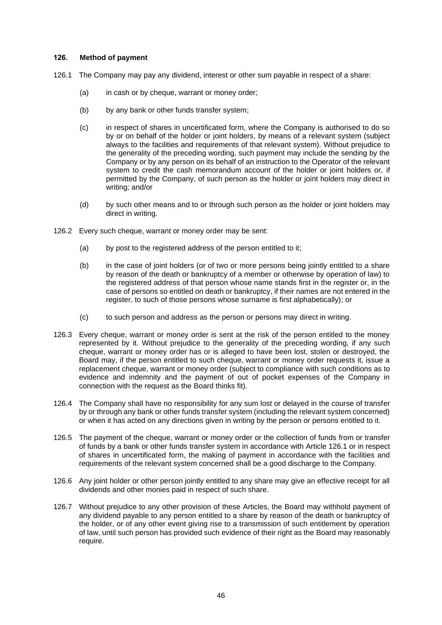### **126. Method of payment**

- <span id="page-45-0"></span>126.1 The Company may pay any dividend, interest or other sum payable in respect of a share:
	- (a) in cash or by cheque, warrant or money order;
	- (b) by any bank or other funds transfer system;
	- (c) in respect of shares in uncertificated form, where the Company is authorised to do so by or on behalf of the holder or joint holders, by means of a relevant system (subject always to the facilities and requirements of that relevant system). Without prejudice to the generality of the preceding wording, such payment may include the sending by the Company or by any person on its behalf of an instruction to the Operator of the relevant system to credit the cash memorandum account of the holder or joint holders or, if permitted by the Company, of such person as the holder or joint holders may direct in writing; and/or
	- (d) by such other means and to or through such person as the holder or joint holders may direct in writing.
- 126.2 Every such cheque, warrant or money order may be sent:
	- (a) by post to the registered address of the person entitled to it;
	- (b) in the case of joint holders (or of two or more persons being jointly entitled to a share by reason of the death or bankruptcy of a member or otherwise by operation of law) to the registered address of that person whose name stands first in the register or, in the case of persons so entitled on death or bankruptcy, if their names are not entered in the register, to such of those persons whose surname is first alphabetically); or
	- (c) to such person and address as the person or persons may direct in writing.
- 126.3 Every cheque, warrant or money order is sent at the risk of the person entitled to the money represented by it. Without prejudice to the generality of the preceding wording, if any such cheque, warrant or money order has or is alleged to have been lost, stolen or destroyed, the Board may, if the person entitled to such cheque, warrant or money order requests it, issue a replacement cheque, warrant or money order (subject to compliance with such conditions as to evidence and indemnity and the payment of out of pocket expenses of the Company in connection with the request as the Board thinks fit).
- 126.4 The Company shall have no responsibility for any sum lost or delayed in the course of transfer by or through any bank or other funds transfer system (including the relevant system concerned) or when it has acted on any directions given in writing by the person or persons entitled to it.
- 126.5 The payment of the cheque, warrant or money order or the collection of funds from or transfer of funds by a bank or other funds transfer system in accordance with Article [126.1](#page-45-0) or in respect of shares in uncertificated form, the making of payment in accordance with the facilities and requirements of the relevant system concerned shall be a good discharge to the Company.
- 126.6 Any joint holder or other person jointly entitled to any share may give an effective receipt for all dividends and other monies paid in respect of such share.
- 126.7 Without prejudice to any other provision of these Articles, the Board may withhold payment of any dividend payable to any person entitled to a share by reason of the death or bankruptcy of the holder, or of any other event giving rise to a transmission of such entitlement by operation of law, until such person has provided such evidence of their right as the Board may reasonably require.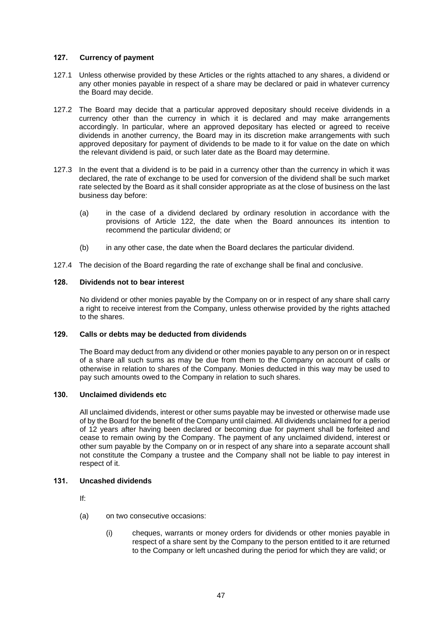# **127. Currency of payment**

- 127.1 Unless otherwise provided by these Articles or the rights attached to any shares, a dividend or any other monies payable in respect of a share may be declared or paid in whatever currency the Board may decide.
- 127.2 The Board may decide that a particular approved depositary should receive dividends in a currency other than the currency in which it is declared and may make arrangements accordingly. In particular, where an approved depositary has elected or agreed to receive dividends in another currency, the Board may in its discretion make arrangements with such approved depositary for payment of dividends to be made to it for value on the date on which the relevant dividend is paid, or such later date as the Board may determine.
- 127.3 In the event that a dividend is to be paid in a currency other than the currency in which it was declared, the rate of exchange to be used for conversion of the dividend shall be such market rate selected by the Board as it shall consider appropriate as at the close of business on the last business day before:
	- (a) in the case of a dividend declared by ordinary resolution in accordance with the provisions of Article [122,](#page-44-1) the date when the Board announces its intention to recommend the particular dividend; or
	- (b) in any other case, the date when the Board declares the particular dividend.
- 127.4 The decision of the Board regarding the rate of exchange shall be final and conclusive.

# **128. Dividends not to bear interest**

No dividend or other monies payable by the Company on or in respect of any share shall carry a right to receive interest from the Company, unless otherwise provided by the rights attached to the shares.

### **129. Calls or debts may be deducted from dividends**

The Board may deduct from any dividend or other monies payable to any person on or in respect of a share all such sums as may be due from them to the Company on account of calls or otherwise in relation to shares of the Company. Monies deducted in this way may be used to pay such amounts owed to the Company in relation to such shares.

# **130. Unclaimed dividends etc**

All unclaimed dividends, interest or other sums payable may be invested or otherwise made use of by the Board for the benefit of the Company until claimed. All dividends unclaimed for a period of 12 years after having been declared or becoming due for payment shall be forfeited and cease to remain owing by the Company. The payment of any unclaimed dividend, interest or other sum payable by the Company on or in respect of any share into a separate account shall not constitute the Company a trustee and the Company shall not be liable to pay interest in respect of it.

### **131. Uncashed dividends**

If:

- (a) on two consecutive occasions:
	- (i) cheques, warrants or money orders for dividends or other monies payable in respect of a share sent by the Company to the person entitled to it are returned to the Company or left uncashed during the period for which they are valid; or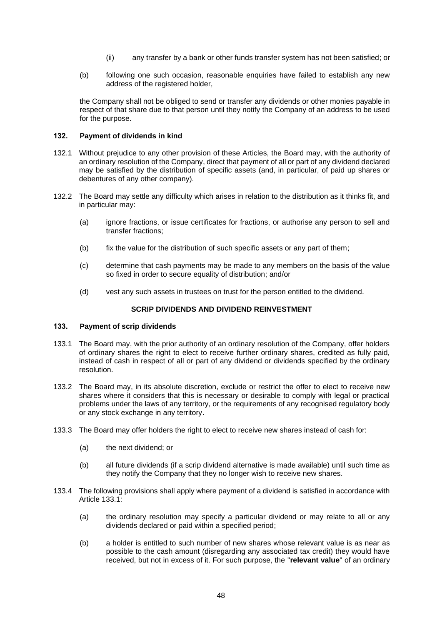- (ii) any transfer by a bank or other funds transfer system has not been satisfied; or
- (b) following one such occasion, reasonable enquiries have failed to establish any new address of the registered holder,

the Company shall not be obliged to send or transfer any dividends or other monies payable in respect of that share due to that person until they notify the Company of an address to be used for the purpose.

# **132. Payment of dividends in kind**

- 132.1 Without prejudice to any other provision of these Articles, the Board may, with the authority of an ordinary resolution of the Company, direct that payment of all or part of any dividend declared may be satisfied by the distribution of specific assets (and, in particular, of paid up shares or debentures of any other company).
- 132.2 The Board may settle any difficulty which arises in relation to the distribution as it thinks fit, and in particular may:
	- (a) ignore fractions, or issue certificates for fractions, or authorise any person to sell and transfer fractions;
	- (b) fix the value for the distribution of such specific assets or any part of them;
	- (c) determine that cash payments may be made to any members on the basis of the value so fixed in order to secure equality of distribution; and/or
	- (d) vest any such assets in trustees on trust for the person entitled to the dividend.

# **SCRIP DIVIDENDS AND DIVIDEND REINVESTMENT**

# <span id="page-47-0"></span>**133. Payment of scrip dividends**

- <span id="page-47-1"></span>133.1 The Board may, with the prior authority of an ordinary resolution of the Company, offer holders of ordinary shares the right to elect to receive further ordinary shares, credited as fully paid, instead of cash in respect of all or part of any dividend or dividends specified by the ordinary resolution.
- 133.2 The Board may, in its absolute discretion, exclude or restrict the offer to elect to receive new shares where it considers that this is necessary or desirable to comply with legal or practical problems under the laws of any territory, or the requirements of any recognised regulatory body or any stock exchange in any territory.
- 133.3 The Board may offer holders the right to elect to receive new shares instead of cash for:
	- (a) the next dividend; or
	- (b) all future dividends (if a scrip dividend alternative is made available) until such time as they notify the Company that they no longer wish to receive new shares.
- <span id="page-47-2"></span>133.4 The following provisions shall apply where payment of a dividend is satisfied in accordance with Article [133.1:](#page-47-1)
	- (a) the ordinary resolution may specify a particular dividend or may relate to all or any dividends declared or paid within a specified period;
	- (b) a holder is entitled to such number of new shares whose relevant value is as near as possible to the cash amount (disregarding any associated tax credit) they would have received, but not in excess of it. For such purpose, the "**relevant value**" of an ordinary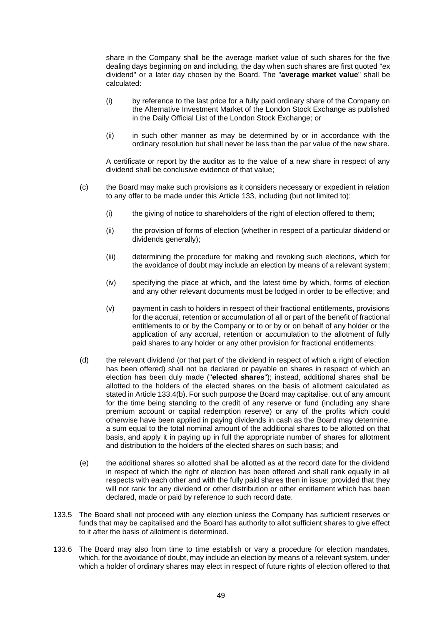share in the Company shall be the average market value of such shares for the five dealing days beginning on and including, the day when such shares are first quoted "ex dividend" or a later day chosen by the Board. The "**average market value**" shall be calculated:

- (i) by reference to the last price for a fully paid ordinary share of the Company on the Alternative Investment Market of the London Stock Exchange as published in the Daily Official List of the London Stock Exchange; or
- (ii) in such other manner as may be determined by or in accordance with the ordinary resolution but shall never be less than the par value of the new share.

A certificate or report by the auditor as to the value of a new share in respect of any dividend shall be conclusive evidence of that value;

- (c) the Board may make such provisions as it considers necessary or expedient in relation to any offer to be made under this Article [133,](#page-47-0) including (but not limited to):
	- (i) the giving of notice to shareholders of the right of election offered to them;
	- (ii) the provision of forms of election (whether in respect of a particular dividend or dividends generally);
	- (iii) determining the procedure for making and revoking such elections, which for the avoidance of doubt may include an election by means of a relevant system;
	- (iv) specifying the place at which, and the latest time by which, forms of election and any other relevant documents must be lodged in order to be effective; and
	- (v) payment in cash to holders in respect of their fractional entitlements, provisions for the accrual, retention or accumulation of all or part of the benefit of fractional entitlements to or by the Company or to or by or on behalf of any holder or the application of any accrual, retention or accumulation to the allotment of fully paid shares to any holder or any other provision for fractional entitlements;
- (d) the relevant dividend (or that part of the dividend in respect of which a right of election has been offered) shall not be declared or payable on shares in respect of which an election has been duly made ("**elected shares**"); instead, additional shares shall be allotted to the holders of the elected shares on the basis of allotment calculated as stated in Article [133.4\(](#page-47-2)b). For such purpose the Board may capitalise, out of any amount for the time being standing to the credit of any reserve or fund (including any share premium account or capital redemption reserve) or any of the profits which could otherwise have been applied in paying dividends in cash as the Board may determine, a sum equal to the total nominal amount of the additional shares to be allotted on that basis, and apply it in paying up in full the appropriate number of shares for allotment and distribution to the holders of the elected shares on such basis; and
- (e) the additional shares so allotted shall be allotted as at the record date for the dividend in respect of which the right of election has been offered and shall rank equally in all respects with each other and with the fully paid shares then in issue; provided that they will not rank for any dividend or other distribution or other entitlement which has been declared, made or paid by reference to such record date.
- 133.5 The Board shall not proceed with any election unless the Company has sufficient reserves or funds that may be capitalised and the Board has authority to allot sufficient shares to give effect to it after the basis of allotment is determined.
- 133.6 The Board may also from time to time establish or vary a procedure for election mandates, which, for the avoidance of doubt, may include an election by means of a relevant system, under which a holder of ordinary shares may elect in respect of future rights of election offered to that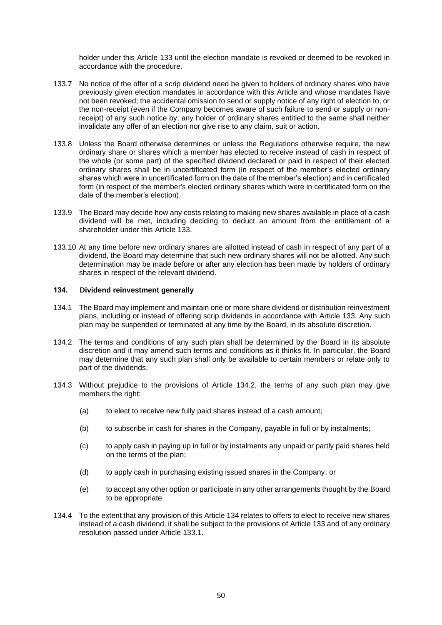holder under this Article [133](#page-47-0) until the election mandate is revoked or deemed to be revoked in accordance with the procedure.

- 133.7 No notice of the offer of a scrip dividend need be given to holders of ordinary shares who have previously given election mandates in accordance with this Article and whose mandates have not been revoked; the accidental omission to send or supply notice of any right of election to, or the non-receipt (even if the Company becomes aware of such failure to send or supply or nonreceipt) of any such notice by, any holder of ordinary shares entitled to the same shall neither invalidate any offer of an election nor give rise to any claim, suit or action.
- 133.8 Unless the Board otherwise determines or unless the Regulations otherwise require, the new ordinary share or shares which a member has elected to receive instead of cash in respect of the whole (or some part) of the specified dividend declared or paid in respect of their elected ordinary shares shall be in uncertificated form (in respect of the member's elected ordinary shares which were in uncertificated form on the date of the member's election) and in certificated form (in respect of the member's elected ordinary shares which were in certificated form on the date of the member's election).
- 133.9 The Board may decide how any costs relating to making new shares available in place of a cash dividend will be met, including deciding to deduct an amount from the entitlement of a shareholder under this Article [133.](#page-47-0)
- 133.10 At any time before new ordinary shares are allotted instead of cash in respect of any part of a dividend, the Board may determine that such new ordinary shares will not be allotted. Any such determination may be made before or after any election has been made by holders of ordinary shares in respect of the relevant dividend.

# <span id="page-49-0"></span>**134. Dividend reinvestment generally**

- 134.1 The Board may implement and maintain one or more share dividend or distribution reinvestment plans, including or instead of offering scrip dividends in accordance with Article [133.](#page-47-0) Any such plan may be suspended or terminated at any time by the Board, in its absolute discretion.
- <span id="page-49-1"></span>134.2 The terms and conditions of any such plan shall be determined by the Board in its absolute discretion and it may amend such terms and conditions as it thinks fit. In particular, the Board may determine that any such plan shall only be available to certain members or relate only to part of the dividends.
- 134.3 Without prejudice to the provisions of Article [134.2,](#page-49-1) the terms of any such plan may give members the right:
	- (a) to elect to receive new fully paid shares instead of a cash amount;
	- (b) to subscribe in cash for shares in the Company, payable in full or by instalments;
	- (c) to apply cash in paying up in full or by instalments any unpaid or partly paid shares held on the terms of the plan;
	- (d) to apply cash in purchasing existing issued shares in the Company; or
	- (e) to accept any other option or participate in any other arrangements thought by the Board to be appropriate.
- 134.4 To the extent that any provision of this Articl[e 134](#page-49-0) relates to offers to elect to receive new shares instead of a cash dividend, it shall be subject to the provisions of Article [133](#page-47-0) and of any ordinary resolution passed under Article [133.1.](#page-47-1)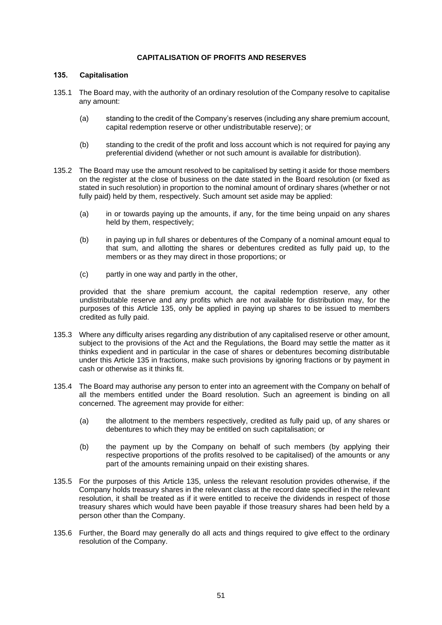# **CAPITALISATION OF PROFITS AND RESERVES**

#### <span id="page-50-0"></span>**135. Capitalisation**

- 135.1 The Board may, with the authority of an ordinary resolution of the Company resolve to capitalise any amount:
	- (a) standing to the credit of the Company's reserves (including any share premium account, capital redemption reserve or other undistributable reserve); or
	- (b) standing to the credit of the profit and loss account which is not required for paying any preferential dividend (whether or not such amount is available for distribution).
- 135.2 The Board may use the amount resolved to be capitalised by setting it aside for those members on the register at the close of business on the date stated in the Board resolution (or fixed as stated in such resolution) in proportion to the nominal amount of ordinary shares (whether or not fully paid) held by them, respectively. Such amount set aside may be applied:
	- (a) in or towards paying up the amounts, if any, for the time being unpaid on any shares held by them, respectively;
	- (b) in paying up in full shares or debentures of the Company of a nominal amount equal to that sum, and allotting the shares or debentures credited as fully paid up, to the members or as they may direct in those proportions; or
	- (c) partly in one way and partly in the other,

provided that the share premium account, the capital redemption reserve, any other undistributable reserve and any profits which are not available for distribution may, for the purposes of this Article [135,](#page-50-0) only be applied in paying up shares to be issued to members credited as fully paid.

- 135.3 Where any difficulty arises regarding any distribution of any capitalised reserve or other amount, subject to the provisions of the Act and the Regulations, the Board may settle the matter as it thinks expedient and in particular in the case of shares or debentures becoming distributable under this Article 135 in fractions, make such provisions by ignoring fractions or by payment in cash or otherwise as it thinks fit.
- 135.4 The Board may authorise any person to enter into an agreement with the Company on behalf of all the members entitled under the Board resolution. Such an agreement is binding on all concerned. The agreement may provide for either:
	- (a) the allotment to the members respectively, credited as fully paid up, of any shares or debentures to which they may be entitled on such capitalisation; or
	- (b) the payment up by the Company on behalf of such members (by applying their respective proportions of the profits resolved to be capitalised) of the amounts or any part of the amounts remaining unpaid on their existing shares.
- 135.5 For the purposes of this Article 135, unless the relevant resolution provides otherwise, if the Company holds treasury shares in the relevant class at the record date specified in the relevant resolution, it shall be treated as if it were entitled to receive the dividends in respect of those treasury shares which would have been payable if those treasury shares had been held by a person other than the Company.
- 135.6 Further, the Board may generally do all acts and things required to give effect to the ordinary resolution of the Company.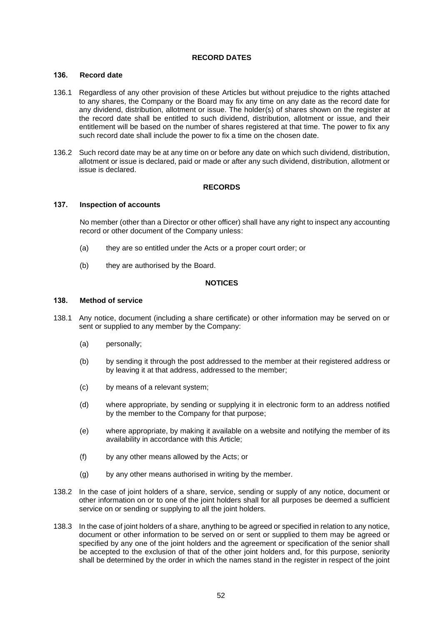# **RECORD DATES**

#### **136. Record date**

- 136.1 Regardless of any other provision of these Articles but without prejudice to the rights attached to any shares, the Company or the Board may fix any time on any date as the record date for any dividend, distribution, allotment or issue. The holder(s) of shares shown on the register at the record date shall be entitled to such dividend, distribution, allotment or issue, and their entitlement will be based on the number of shares registered at that time. The power to fix any such record date shall include the power to fix a time on the chosen date.
- 136.2 Such record date may be at any time on or before any date on which such dividend, distribution, allotment or issue is declared, paid or made or after any such dividend, distribution, allotment or issue is declared.

### **RECORDS**

#### **137. Inspection of accounts**

No member (other than a Director or other officer) shall have any right to inspect any accounting record or other document of the Company unless:

- (a) they are so entitled under the Acts or a proper court order; or
- (b) they are authorised by the Board.

### **NOTICES**

#### **138. Method of service**

- 138.1 Any notice, document (including a share certificate) or other information may be served on or sent or supplied to any member by the Company:
	- (a) personally;
	- (b) by sending it through the post addressed to the member at their registered address or by leaving it at that address, addressed to the member;
	- (c) by means of a relevant system;
	- (d) where appropriate, by sending or supplying it in electronic form to an address notified by the member to the Company for that purpose;
	- (e) where appropriate, by making it available on a website and notifying the member of its availability in accordance with this Article;
	- (f) by any other means allowed by the Acts; or
	- (g) by any other means authorised in writing by the member.
- 138.2 In the case of joint holders of a share, service, sending or supply of any notice, document or other information on or to one of the joint holders shall for all purposes be deemed a sufficient service on or sending or supplying to all the joint holders.
- 138.3 In the case of joint holders of a share, anything to be agreed or specified in relation to any notice, document or other information to be served on or sent or supplied to them may be agreed or specified by any one of the joint holders and the agreement or specification of the senior shall be accepted to the exclusion of that of the other joint holders and, for this purpose, seniority shall be determined by the order in which the names stand in the register in respect of the joint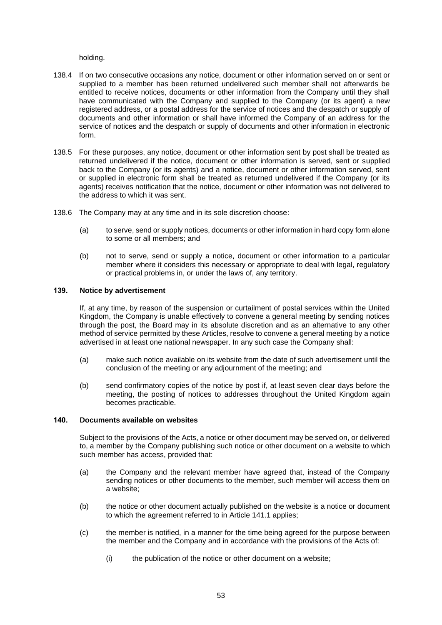holding.

- 138.4 If on two consecutive occasions any notice, document or other information served on or sent or supplied to a member has been returned undelivered such member shall not afterwards be entitled to receive notices, documents or other information from the Company until they shall have communicated with the Company and supplied to the Company (or its agent) a new registered address, or a postal address for the service of notices and the despatch or supply of documents and other information or shall have informed the Company of an address for the service of notices and the despatch or supply of documents and other information in electronic form.
- 138.5 For these purposes, any notice, document or other information sent by post shall be treated as returned undelivered if the notice, document or other information is served, sent or supplied back to the Company (or its agents) and a notice, document or other information served, sent or supplied in electronic form shall be treated as returned undelivered if the Company (or its agents) receives notification that the notice, document or other information was not delivered to the address to which it was sent.
- 138.6 The Company may at any time and in its sole discretion choose:
	- (a) to serve, send or supply notices, documents or other information in hard copy form alone to some or all members; and
	- (b) not to serve, send or supply a notice, document or other information to a particular member where it considers this necessary or appropriate to deal with legal, regulatory or practical problems in, or under the laws of, any territory.

### **139. Notice by advertisement**

If, at any time, by reason of the suspension or curtailment of postal services within the United Kingdom, the Company is unable effectively to convene a general meeting by sending notices through the post, the Board may in its absolute discretion and as an alternative to any other method of service permitted by these Articles, resolve to convene a general meeting by a notice advertised in at least one national newspaper. In any such case the Company shall:

- (a) make such notice available on its website from the date of such advertisement until the conclusion of the meeting or any adjournment of the meeting; and
- (b) send confirmatory copies of the notice by post if, at least seven clear days before the meeting, the posting of notices to addresses throughout the United Kingdom again becomes practicable.

# **140. Documents available on websites**

Subject to the provisions of the Acts, a notice or other document may be served on, or delivered to, a member by the Company publishing such notice or other document on a website to which such member has access, provided that:

- (a) the Company and the relevant member have agreed that, instead of the Company sending notices or other documents to the member, such member will access them on a website;
- (b) the notice or other document actually published on the website is a notice or document to which the agreement referred to in Article [141.1](#page-53-0) applies;
- (c) the member is notified, in a manner for the time being agreed for the purpose between the member and the Company and in accordance with the provisions of the Acts of:
	- (i) the publication of the notice or other document on a website;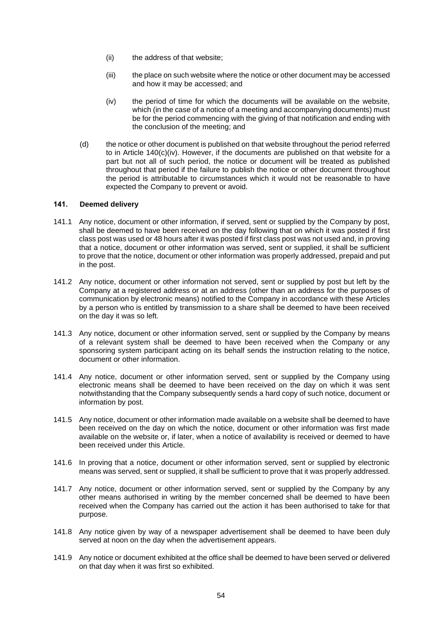- (ii) the address of that website;
- (iii) the place on such website where the notice or other document may be accessed and how it may be accessed; and
- (iv) the period of time for which the documents will be available on the website, which (in the case of a notice of a meeting and accompanying documents) must be for the period commencing with the giving of that notification and ending with the conclusion of the meeting; and
- (d) the notice or other document is published on that website throughout the period referred to in Article 140(c)(iv). However, if the documents are published on that website for a part but not all of such period, the notice or document will be treated as published throughout that period if the failure to publish the notice or other document throughout the period is attributable to circumstances which it would not be reasonable to have expected the Company to prevent or avoid.

### **141. Deemed delivery**

- <span id="page-53-0"></span>141.1 Any notice, document or other information, if served, sent or supplied by the Company by post, shall be deemed to have been received on the day following that on which it was posted if first class post was used or 48 hours after it was posted if first class post was not used and, in proving that a notice, document or other information was served, sent or supplied, it shall be sufficient to prove that the notice, document or other information was properly addressed, prepaid and put in the post.
- 141.2 Any notice, document or other information not served, sent or supplied by post but left by the Company at a registered address or at an address (other than an address for the purposes of communication by electronic means) notified to the Company in accordance with these Articles by a person who is entitled by transmission to a share shall be deemed to have been received on the day it was so left.
- 141.3 Any notice, document or other information served, sent or supplied by the Company by means of a relevant system shall be deemed to have been received when the Company or any sponsoring system participant acting on its behalf sends the instruction relating to the notice, document or other information.
- 141.4 Any notice, document or other information served, sent or supplied by the Company using electronic means shall be deemed to have been received on the day on which it was sent notwithstanding that the Company subsequently sends a hard copy of such notice, document or information by post.
- 141.5 Any notice, document or other information made available on a website shall be deemed to have been received on the day on which the notice, document or other information was first made available on the website or, if later, when a notice of availability is received or deemed to have been received under this Article.
- 141.6 In proving that a notice, document or other information served, sent or supplied by electronic means was served, sent or supplied, it shall be sufficient to prove that it was properly addressed.
- 141.7 Any notice, document or other information served, sent or supplied by the Company by any other means authorised in writing by the member concerned shall be deemed to have been received when the Company has carried out the action it has been authorised to take for that purpose.
- 141.8 Any notice given by way of a newspaper advertisement shall be deemed to have been duly served at noon on the day when the advertisement appears.
- 141.9 Any notice or document exhibited at the office shall be deemed to have been served or delivered on that day when it was first so exhibited.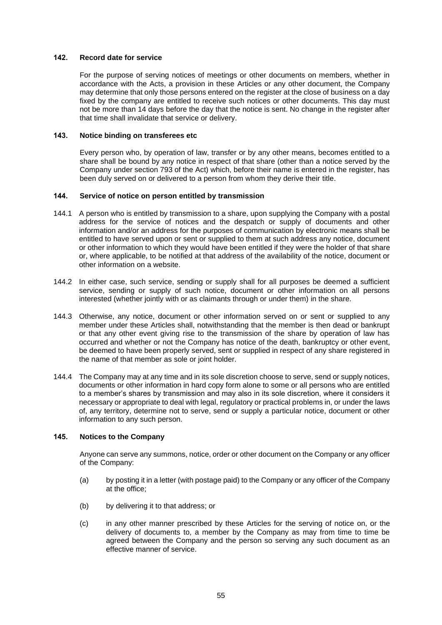# **142. Record date for service**

For the purpose of serving notices of meetings or other documents on members, whether in accordance with the Acts, a provision in these Articles or any other document, the Company may determine that only those persons entered on the register at the close of business on a day fixed by the company are entitled to receive such notices or other documents. This day must not be more than 14 days before the day that the notice is sent. No change in the register after that time shall invalidate that service or delivery.

### **143. Notice binding on transferees etc**

Every person who, by operation of law, transfer or by any other means, becomes entitled to a share shall be bound by any notice in respect of that share (other than a notice served by the Company under section 793 of the Act) which, before their name is entered in the register, has been duly served on or delivered to a person from whom they derive their title.

### **144. Service of notice on person entitled by transmission**

- 144.1 A person who is entitled by transmission to a share, upon supplying the Company with a postal address for the service of notices and the despatch or supply of documents and other information and/or an address for the purposes of communication by electronic means shall be entitled to have served upon or sent or supplied to them at such address any notice, document or other information to which they would have been entitled if they were the holder of that share or, where applicable, to be notified at that address of the availability of the notice, document or other information on a website.
- 144.2 In either case, such service, sending or supply shall for all purposes be deemed a sufficient service, sending or supply of such notice, document or other information on all persons interested (whether jointly with or as claimants through or under them) in the share.
- 144.3 Otherwise, any notice, document or other information served on or sent or supplied to any member under these Articles shall, notwithstanding that the member is then dead or bankrupt or that any other event giving rise to the transmission of the share by operation of law has occurred and whether or not the Company has notice of the death, bankruptcy or other event, be deemed to have been properly served, sent or supplied in respect of any share registered in the name of that member as sole or joint holder.
- 144.4 The Company may at any time and in its sole discretion choose to serve, send or supply notices, documents or other information in hard copy form alone to some or all persons who are entitled to a member's shares by transmission and may also in its sole discretion, where it considers it necessary or appropriate to deal with legal, regulatory or practical problems in, or under the laws of, any territory, determine not to serve, send or supply a particular notice, document or other information to any such person.

# **145. Notices to the Company**

Anyone can serve any summons, notice, order or other document on the Company or any officer of the Company:

- (a) by posting it in a letter (with postage paid) to the Company or any officer of the Company at the office;
- (b) by delivering it to that address; or
- (c) in any other manner prescribed by these Articles for the serving of notice on, or the delivery of documents to, a member by the Company as may from time to time be agreed between the Company and the person so serving any such document as an effective manner of service.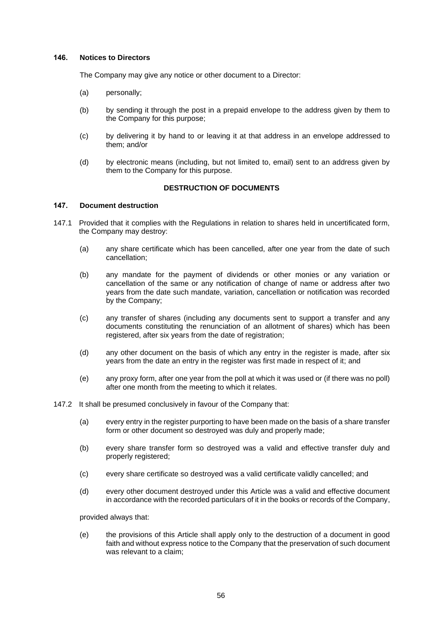### **146. Notices to Directors**

The Company may give any notice or other document to a Director:

- (a) personally;
- (b) by sending it through the post in a prepaid envelope to the address given by them to the Company for this purpose;
- (c) by delivering it by hand to or leaving it at that address in an envelope addressed to them; and/or
- (d) by electronic means (including, but not limited to, email) sent to an address given by them to the Company for this purpose.

# **DESTRUCTION OF DOCUMENTS**

# **147. Document destruction**

- 147.1 Provided that it complies with the Regulations in relation to shares held in uncertificated form, the Company may destroy:
	- (a) any share certificate which has been cancelled, after one year from the date of such cancellation;
	- (b) any mandate for the payment of dividends or other monies or any variation or cancellation of the same or any notification of change of name or address after two years from the date such mandate, variation, cancellation or notification was recorded by the Company;
	- (c) any transfer of shares (including any documents sent to support a transfer and any documents constituting the renunciation of an allotment of shares) which has been registered, after six years from the date of registration;
	- (d) any other document on the basis of which any entry in the register is made, after six years from the date an entry in the register was first made in respect of it; and
	- (e) any proxy form, after one year from the poll at which it was used or (if there was no poll) after one month from the meeting to which it relates.
- 147.2 It shall be presumed conclusively in favour of the Company that:
	- (a) every entry in the register purporting to have been made on the basis of a share transfer form or other document so destroyed was duly and properly made;
	- (b) every share transfer form so destroyed was a valid and effective transfer duly and properly registered;
	- (c) every share certificate so destroyed was a valid certificate validly cancelled; and
	- (d) every other document destroyed under this Article was a valid and effective document in accordance with the recorded particulars of it in the books or records of the Company,

provided always that:

(e) the provisions of this Article shall apply only to the destruction of a document in good faith and without express notice to the Company that the preservation of such document was relevant to a claim;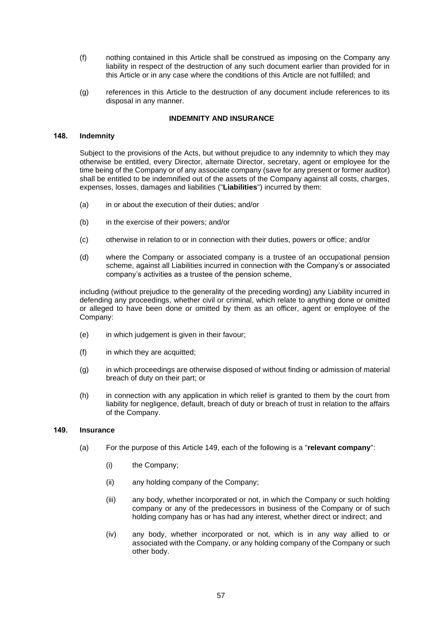- (f) nothing contained in this Article shall be construed as imposing on the Company any liability in respect of the destruction of any such document earlier than provided for in this Article or in any case where the conditions of this Article are not fulfilled; and
- (g) references in this Article to the destruction of any document include references to its disposal in any manner.

# **INDEMNITY AND INSURANCE**

# **148. Indemnity**

Subject to the provisions of the Acts, but without prejudice to any indemnity to which they may otherwise be entitled, every Director, alternate Director, secretary, agent or employee for the time being of the Company or of any associate company (save for any present or former auditor) shall be entitled to be indemnified out of the assets of the Company against all costs, charges, expenses, losses, damages and liabilities ("**Liabilities**") incurred by them:

- (a) in or about the execution of their duties; and/or
- (b) in the exercise of their powers; and/or
- (c) otherwise in relation to or in connection with their duties, powers or office; and/or
- (d) where the Company or associated company is a trustee of an occupational pension scheme, against all Liabilities incurred in connection with the Company's or associated company's activities as a trustee of the pension scheme,

including (without prejudice to the generality of the preceding wording) any Liability incurred in defending any proceedings, whether civil or criminal, which relate to anything done or omitted or alleged to have been done or omitted by them as an officer, agent or employee of the Company:

- (e) in which judgement is given in their favour;
- (f) in which they are acquitted;
- (g) in which proceedings are otherwise disposed of without finding or admission of material breach of duty on their part; or
- (h) in connection with any application in which relief is granted to them by the court from liability for negligence, default, breach of duty or breach of trust in relation to the affairs of the Company.

### **149. Insurance**

- (a) For the purpose of this Article 149, each of the following is a "**relevant company**":
	- (i) the Company;
	- (ii) any holding company of the Company;
	- (iii) any body, whether incorporated or not, in which the Company or such holding company or any of the predecessors in business of the Company or of such holding company has or has had any interest, whether direct or indirect; and
	- (iv) any body, whether incorporated or not, which is in any way allied to or associated with the Company, or any holding company of the Company or such other body.